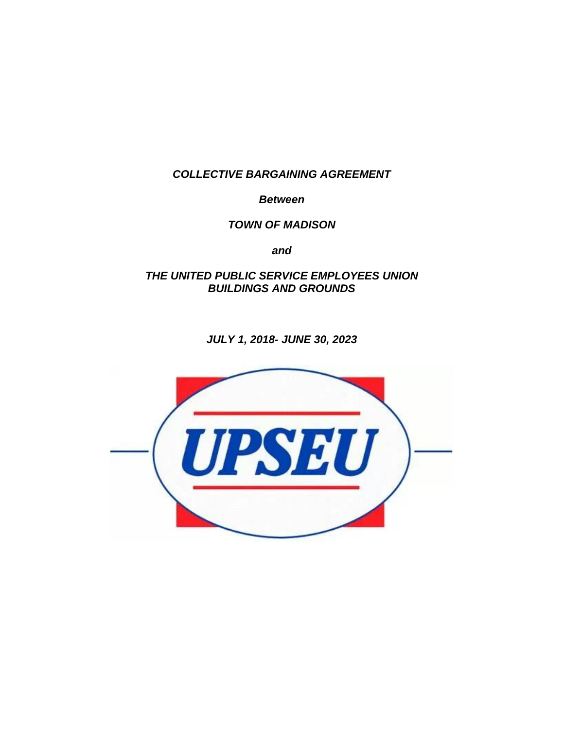*COLLECTIVE BARGAINING AGREEMENT*

*Between*

*TOWN OF MADISON*

*and*

*THE UNITED PUBLIC SERVICE EMPLOYEES UNION BUILDINGS AND GROUNDS*

*JULY 1, 2018- JUNE 30, 2023*

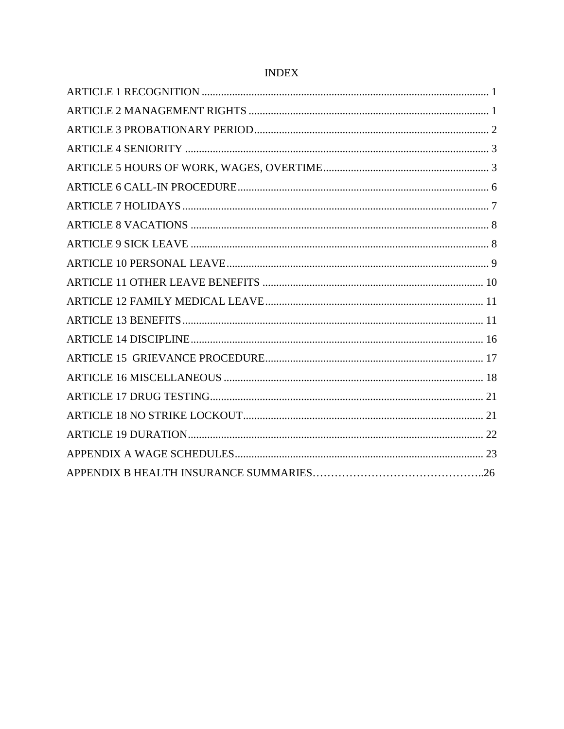# $\ensuremath{\mathsf{INDEX}}$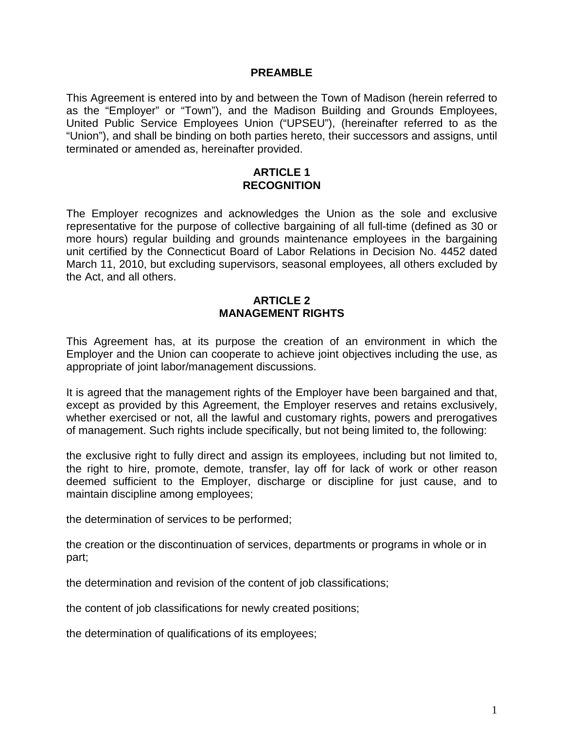#### **PREAMBLE**

This Agreement is entered into by and between the Town of Madison (herein referred to as the "Employer" or "Town"), and the Madison Building and Grounds Employees, United Public Service Employees Union ("UPSEU"), (hereinafter referred to as the "Union"), and shall be binding on both parties hereto, their successors and assigns, until terminated or amended as, hereinafter provided.

#### **ARTICLE 1 RECOGNITION**

<span id="page-2-0"></span>The Employer recognizes and acknowledges the Union as the sole and exclusive representative for the purpose of collective bargaining of all full-time (defined as 30 or more hours) regular building and grounds maintenance employees in the bargaining unit certified by the Connecticut Board of Labor Relations in Decision No. 4452 dated March 11, 2010, but excluding supervisors, seasonal employees, all others excluded by the Act, and all others.

#### **ARTICLE 2 MANAGEMENT RIGHTS**

<span id="page-2-1"></span>This Agreement has, at its purpose the creation of an environment in which the Employer and the Union can cooperate to achieve joint objectives including the use, as appropriate of joint labor/management discussions.

It is agreed that the management rights of the Employer have been bargained and that, except as provided by this Agreement, the Employer reserves and retains exclusively, whether exercised or not, all the lawful and customary rights, powers and prerogatives of management. Such rights include specifically, but not being limited to, the following:

the exclusive right to fully direct and assign its employees, including but not limited to, the right to hire, promote, demote, transfer, lay off for lack of work or other reason deemed sufficient to the Employer, discharge or discipline for just cause, and to maintain discipline among employees;

the determination of services to be performed;

the creation or the discontinuation of services, departments or programs in whole or in part;

the determination and revision of the content of job classifications;

the content of job classifications for newly created positions;

the determination of qualifications of its employees;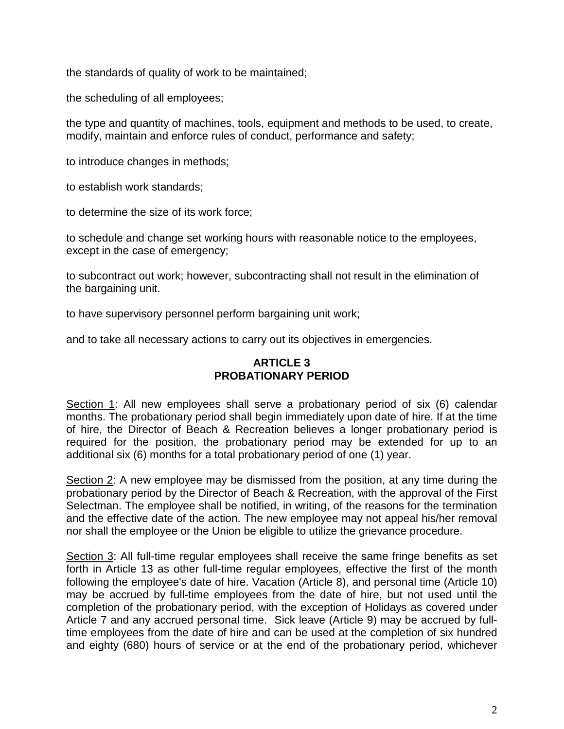the standards of quality of work to be maintained;

the scheduling of all employees;

the type and quantity of machines, tools, equipment and methods to be used, to create, modify, maintain and enforce rules of conduct, performance and safety;

to introduce changes in methods;

to establish work standards;

to determine the size of its work force;

to schedule and change set working hours with reasonable notice to the employees, except in the case of emergency;

to subcontract out work; however, subcontracting shall not result in the elimination of the bargaining unit.

to have supervisory personnel perform bargaining unit work;

<span id="page-3-0"></span>and to take all necessary actions to carry out its objectives in emergencies.

### **ARTICLE 3 PROBATIONARY PERIOD**

Section 1: All new employees shall serve a probationary period of six (6) calendar months. The probationary period shall begin immediately upon date of hire. If at the time of hire, the Director of Beach & Recreation believes a longer probationary period is required for the position, the probationary period may be extended for up to an additional six (6) months for a total probationary period of one (1) year.

Section 2: A new employee may be dismissed from the position, at any time during the probationary period by the Director of Beach & Recreation, with the approval of the First Selectman. The employee shall be notified, in writing, of the reasons for the termination and the effective date of the action. The new employee may not appeal his/her removal nor shall the employee or the Union be eligible to utilize the grievance procedure.

Section 3: All full-time regular employees shall receive the same fringe benefits as set forth in Article 13 as other full-time regular employees, effective the first of the month following the employee's date of hire. Vacation (Article 8), and personal time (Article 10) may be accrued by full-time employees from the date of hire, but not used until the completion of the probationary period, with the exception of Holidays as covered under Article 7 and any accrued personal time. Sick leave (Article 9) may be accrued by fulltime employees from the date of hire and can be used at the completion of six hundred and eighty (680) hours of service or at the end of the probationary period, whichever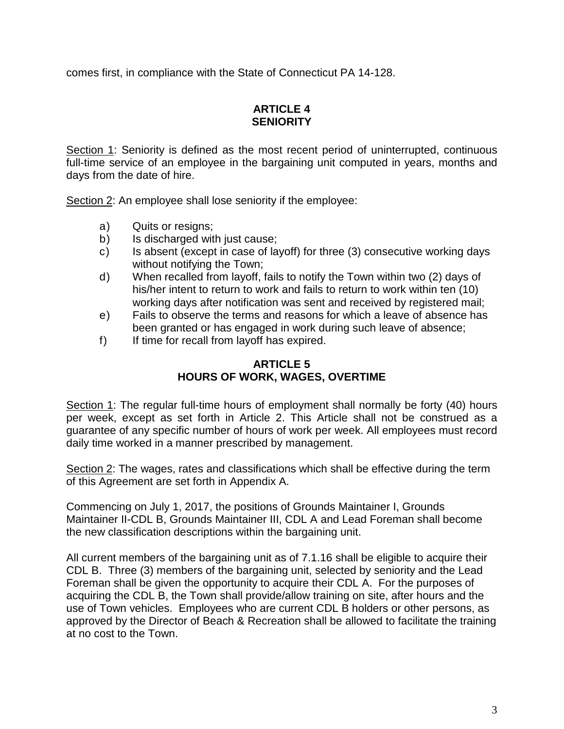<span id="page-4-0"></span>comes first, in compliance with the State of Connecticut PA 14-128.

# **ARTICLE 4 SENIORITY**

Section 1: Seniority is defined as the most recent period of uninterrupted, continuous full-time service of an employee in the bargaining unit computed in years, months and days from the date of hire.

Section 2: An employee shall lose seniority if the employee:

- a) Quits or resigns;
- b) Is discharged with just cause;
- c) Is absent (except in case of layoff) for three (3) consecutive working days without notifying the Town;
- d) When recalled from layoff, fails to notify the Town within two (2) days of his/her intent to return to work and fails to return to work within ten (10) working days after notification was sent and received by registered mail;
- e) Fails to observe the terms and reasons for which a leave of absence has been granted or has engaged in work during such leave of absence;
- <span id="page-4-1"></span>f) If time for recall from layoff has expired.

# **ARTICLE 5 HOURS OF WORK, WAGES, OVERTIME**

Section 1: The regular full-time hours of employment shall normally be forty (40) hours per week, except as set forth in Article 2. This Article shall not be construed as a guarantee of any specific number of hours of work per week. All employees must record daily time worked in a manner prescribed by management.

Section 2: The wages, rates and classifications which shall be effective during the term of this Agreement are set forth in Appendix A.

Commencing on July 1, 2017, the positions of Grounds Maintainer I, Grounds Maintainer II-CDL B, Grounds Maintainer III, CDL A and Lead Foreman shall become the new classification descriptions within the bargaining unit.

All current members of the bargaining unit as of 7.1.16 shall be eligible to acquire their CDL B. Three (3) members of the bargaining unit, selected by seniority and the Lead Foreman shall be given the opportunity to acquire their CDL A. For the purposes of acquiring the CDL B, the Town shall provide/allow training on site, after hours and the use of Town vehicles. Employees who are current CDL B holders or other persons, as approved by the Director of Beach & Recreation shall be allowed to facilitate the training at no cost to the Town.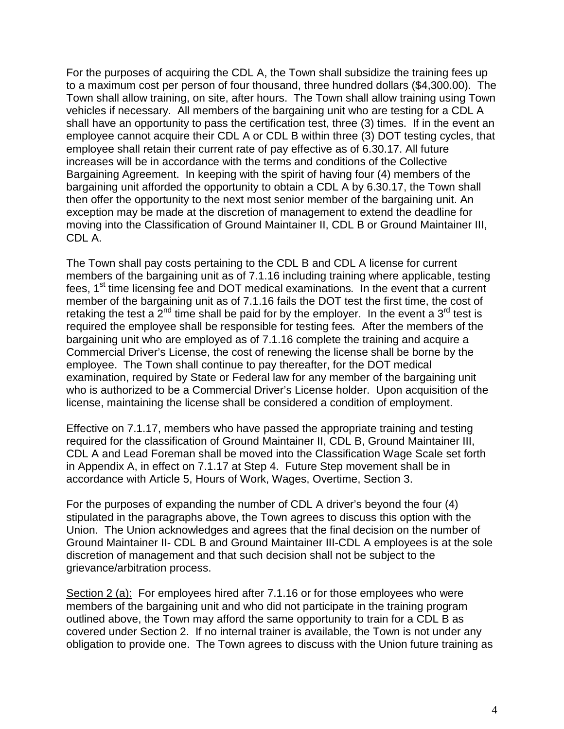For the purposes of acquiring the CDL A, the Town shall subsidize the training fees up to a maximum cost per person of four thousand, three hundred dollars (\$4,300.00). The Town shall allow training, on site, after hours. The Town shall allow training using Town vehicles if necessary. All members of the bargaining unit who are testing for a CDL A shall have an opportunity to pass the certification test, three (3) times. If in the event an employee cannot acquire their CDL A or CDL B within three (3) DOT testing cycles, that employee shall retain their current rate of pay effective as of 6.30.17. All future increases will be in accordance with the terms and conditions of the Collective Bargaining Agreement. In keeping with the spirit of having four (4) members of the bargaining unit afforded the opportunity to obtain a CDL A by 6.30.17, the Town shall then offer the opportunity to the next most senior member of the bargaining unit. An exception may be made at the discretion of management to extend the deadline for moving into the Classification of Ground Maintainer II, CDL B or Ground Maintainer III, CDL A.

The Town shall pay costs pertaining to the CDL B and CDL A license for current members of the bargaining unit as of 7.1.16 including training where applicable, testing fees, 1st time licensing fee and DOT medical examinations*.* In the event that a current member of the bargaining unit as of 7.1.16 fails the DOT test the first time, the cost of retaking the test a  $2^{nd}$  time shall be paid for by the employer. In the event a 3<sup>rd</sup> test is required the employee shall be responsible for testing fees*.* After the members of the bargaining unit who are employed as of 7.1.16 complete the training and acquire a Commercial Driver's License, the cost of renewing the license shall be borne by the employee. The Town shall continue to pay thereafter, for the DOT medical examination, required by State or Federal law for any member of the bargaining unit who is authorized to be a Commercial Driver's License holder.Upon acquisition of the license, maintaining the license shall be considered a condition of employment.

Effective on 7.1.17, members who have passed the appropriate training and testing required for the classification of Ground Maintainer II, CDL B, Ground Maintainer III, CDL A and Lead Foreman shall be moved into the Classification Wage Scale set forth in Appendix A, in effect on 7.1.17 at Step 4. Future Step movement shall be in accordance with Article 5, Hours of Work, Wages, Overtime, Section 3.

For the purposes of expanding the number of CDL A driver's beyond the four (4) stipulated in the paragraphs above, the Town agrees to discuss this option with the Union. The Union acknowledges and agrees that the final decision on the number of Ground Maintainer II- CDL B and Ground Maintainer III-CDL A employees is at the sole discretion of management and that such decision shall not be subject to the grievance/arbitration process.

Section 2 (a): For employees hired after 7.1.16 or for those employees who were members of the bargaining unit and who did not participate in the training program outlined above, the Town may afford the same opportunity to train for a CDL B as covered under Section 2. If no internal trainer is available, the Town is not under any obligation to provide one. The Town agrees to discuss with the Union future training as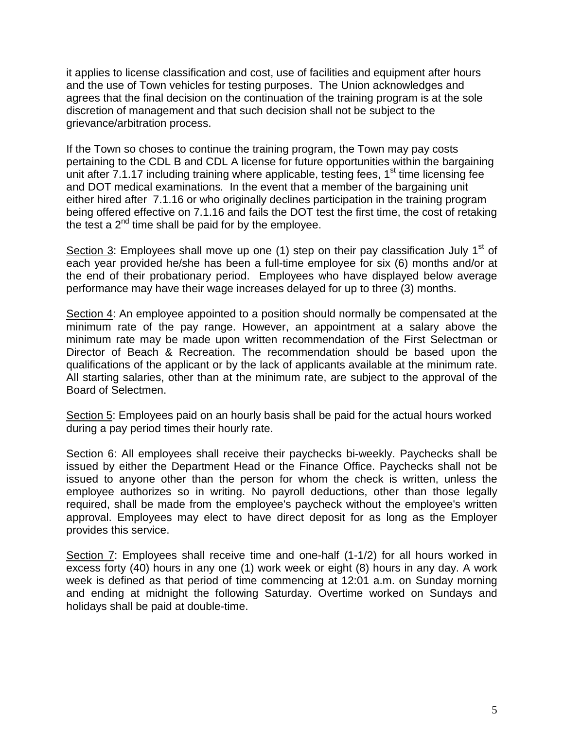it applies to license classification and cost, use of facilities and equipment after hours and the use of Town vehicles for testing purposes. The Union acknowledges and agrees that the final decision on the continuation of the training program is at the sole discretion of management and that such decision shall not be subject to the grievance/arbitration process.

If the Town so choses to continue the training program, the Town may pay costs pertaining to the CDL B and CDL A license for future opportunities within the bargaining unit after  $7.1.17$  including training where applicable, testing fees,  $1<sup>st</sup>$  time licensing fee and DOT medical examinations*.* In the event that a member of the bargaining unit either hired after 7.1.16 or who originally declines participation in the training program being offered effective on 7.1.16 and fails the DOT test the first time, the cost of retaking the test a  $2<sup>nd</sup>$  time shall be paid for by the employee.

Section 3: Employees shall move up one (1) step on their pay classification July  $1<sup>st</sup>$  of each year provided he/she has been a full-time employee for six (6) months and/or at the end of their probationary period. Employees who have displayed below average performance may have their wage increases delayed for up to three (3) months.

Section 4: An employee appointed to a position should normally be compensated at the minimum rate of the pay range. However, an appointment at a salary above the minimum rate may be made upon written recommendation of the First Selectman or Director of Beach & Recreation. The recommendation should be based upon the qualifications of the applicant or by the lack of applicants available at the minimum rate. All starting salaries, other than at the minimum rate, are subject to the approval of the Board of Selectmen.

Section 5: Employees paid on an hourly basis shall be paid for the actual hours worked during a pay period times their hourly rate.

Section 6: All employees shall receive their paychecks bi-weekly. Paychecks shall be issued by either the Department Head or the Finance Office. Paychecks shall not be issued to anyone other than the person for whom the check is written, unless the employee authorizes so in writing. No payroll deductions, other than those legally required, shall be made from the employee's paycheck without the employee's written approval. Employees may elect to have direct deposit for as long as the Employer provides this service.

Section 7: Employees shall receive time and one-half (1-1/2) for all hours worked in excess forty (40) hours in any one (1) work week or eight (8) hours in any day. A work week is defined as that period of time commencing at 12:01 a.m. on Sunday morning and ending at midnight the following Saturday. Overtime worked on Sundays and holidays shall be paid at double-time.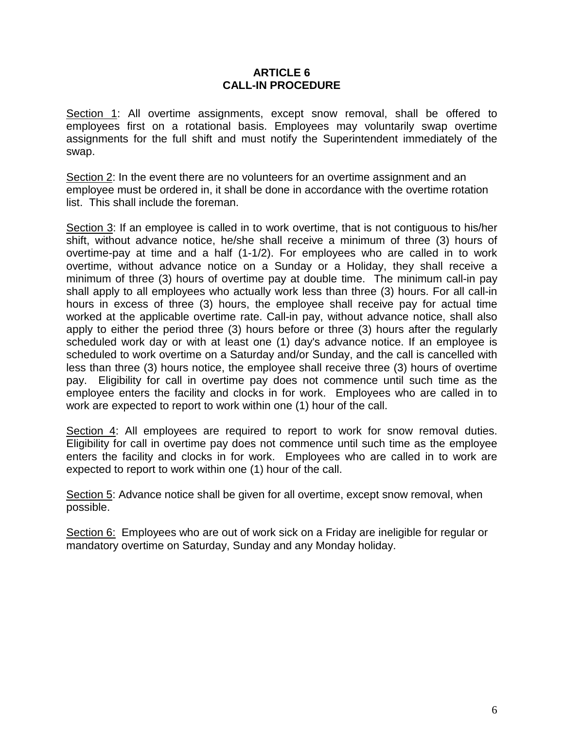#### **ARTICLE 6 CALL-IN PROCEDURE**

<span id="page-7-0"></span>Section 1: All overtime assignments, except snow removal, shall be offered to employees first on a rotational basis. Employees may voluntarily swap overtime assignments for the full shift and must notify the Superintendent immediately of the swap.

Section 2: In the event there are no volunteers for an overtime assignment and an employee must be ordered in, it shall be done in accordance with the overtime rotation list. This shall include the foreman.

Section 3: If an employee is called in to work overtime, that is not contiguous to his/her shift, without advance notice, he/she shall receive a minimum of three (3) hours of overtime-pay at time and a half (1-1/2). For employees who are called in to work overtime, without advance notice on a Sunday or a Holiday, they shall receive a minimum of three (3) hours of overtime pay at double time. The minimum call-in pay shall apply to all employees who actually work less than three (3) hours. For all call-in hours in excess of three (3) hours, the employee shall receive pay for actual time worked at the applicable overtime rate. Call-in pay, without advance notice, shall also apply to either the period three (3) hours before or three (3) hours after the regularly scheduled work day or with at least one (1) day's advance notice. If an employee is scheduled to work overtime on a Saturday and/or Sunday, and the call is cancelled with less than three (3) hours notice, the employee shall receive three (3) hours of overtime pay. Eligibility for call in overtime pay does not commence until such time as the employee enters the facility and clocks in for work. Employees who are called in to work are expected to report to work within one (1) hour of the call.

Section 4: All employees are required to report to work for snow removal duties. Eligibility for call in overtime pay does not commence until such time as the employee enters the facility and clocks in for work. Employees who are called in to work are expected to report to work within one (1) hour of the call.

Section 5: Advance notice shall be given for all overtime, except snow removal, when possible.

Section 6: Employees who are out of work sick on a Friday are ineligible for regular or mandatory overtime on Saturday, Sunday and any Monday holiday.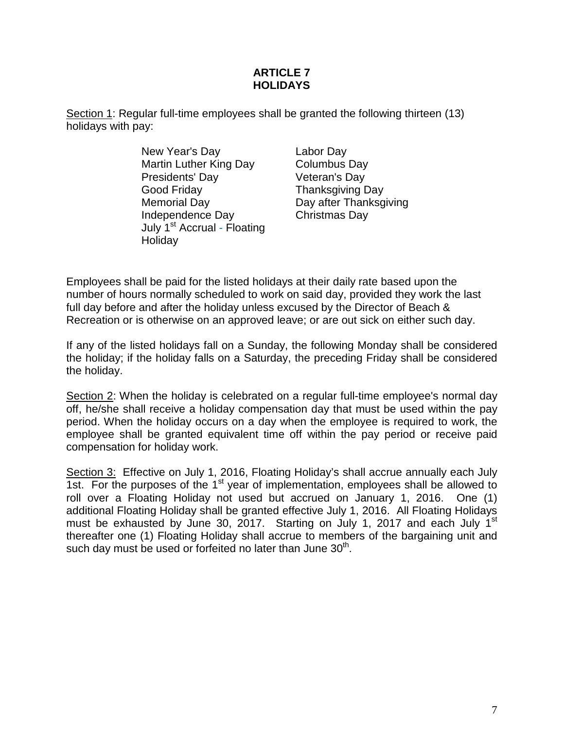# **ARTICLE 7 HOLIDAYS**

<span id="page-8-0"></span>Section 1: Regular full-time employees shall be granted the following thirteen (13) holidays with pay:

> New Year's Day Martin Luther King Day Presidents' Day Good Friday Memorial Day Independence Day July 1st Accrual - Floating **Holidav**

Labor Day Columbus Day Veteran's Day Thanksgiving Day Day after Thanksgiving Christmas Day

Employees shall be paid for the listed holidays at their daily rate based upon the number of hours normally scheduled to work on said day, provided they work the last full day before and after the holiday unless excused by the Director of Beach & Recreation or is otherwise on an approved leave; or are out sick on either such day.

If any of the listed holidays fall on a Sunday, the following Monday shall be considered the holiday; if the holiday falls on a Saturday, the preceding Friday shall be considered the holiday.

Section 2: When the holiday is celebrated on a regular full-time employee's normal day off, he/she shall receive a holiday compensation day that must be used within the pay period. When the holiday occurs on a day when the employee is required to work, the employee shall be granted equivalent time off within the pay period or receive paid compensation for holiday work.

<span id="page-8-1"></span>Section 3: Effective on July 1, 2016, Floating Holiday's shall accrue annually each July 1st. For the purposes of the 1<sup>st</sup> year of implementation, employees shall be allowed to roll over a Floating Holiday not used but accrued on January 1, 2016. One (1) additional Floating Holiday shall be granted effective July 1, 2016. All Floating Holidays must be exhausted by June 30, 2017. Starting on July 1, 2017 and each July 1<sup>st</sup> thereafter one (1) Floating Holiday shall accrue to members of the bargaining unit and such day must be used or forfeited no later than June  $30<sup>th</sup>$ .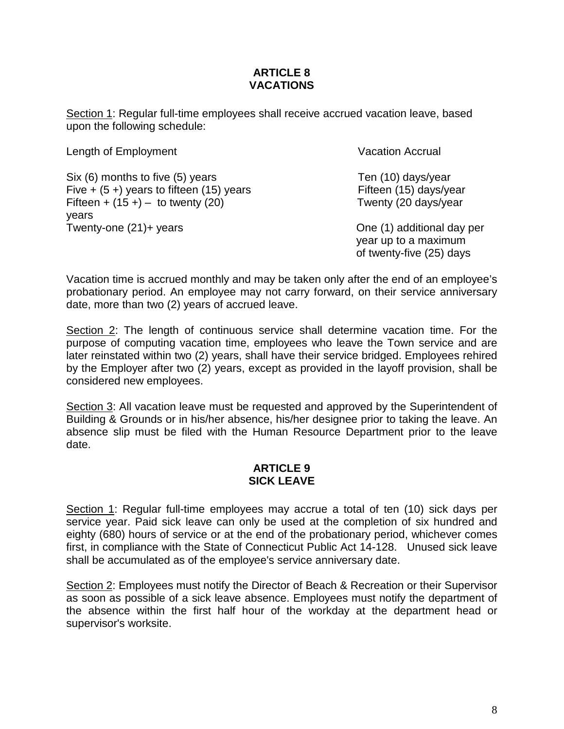# **ARTICLE 8 VACATIONS**

Section 1: Regular full-time employees shall receive accrued vacation leave, based upon the following schedule:

Length of Employment

Six (6) months to five (5) years Five  $+$  (5 +) years to fifteen (15) years Fifteen  $+ (15 +) -$  to twenty (20) years Twenty-one (21)+ years

Vacation Accrual

Ten (10) days/year Fifteen (15) days/year Twenty (20 days/year

One (1) additional day per year up to a maximum of twenty-five (25) days

Vacation time is accrued monthly and may be taken only after the end of an employee's probationary period. An employee may not carry forward, on their service anniversary date, more than two (2) years of accrued leave.

Section 2: The length of continuous service shall determine vacation time. For the purpose of computing vacation time, employees who leave the Town service and are later reinstated within two (2) years, shall have their service bridged. Employees rehired by the Employer after two (2) years, except as provided in the layoff provision, shall be considered new employees.

<span id="page-9-0"></span>Section 3: All vacation leave must be requested and approved by the Superintendent of Building & Grounds or in his/her absence, his/her designee prior to taking the leave. An absence slip must be filed with the Human Resource Department prior to the leave date.

#### **ARTICLE 9 SICK LEAVE**

Section 1: Regular full-time employees may accrue a total of ten (10) sick days per service year. Paid sick leave can only be used at the completion of six hundred and eighty (680) hours of service or at the end of the probationary period, whichever comes first, in compliance with the State of Connecticut Public Act 14-128. Unused sick leave shall be accumulated as of the employee's service anniversary date.

Section 2: Employees must notify the Director of Beach & Recreation or their Supervisor as soon as possible of a sick leave absence. Employees must notify the department of the absence within the first half hour of the workday at the department head or supervisor's worksite.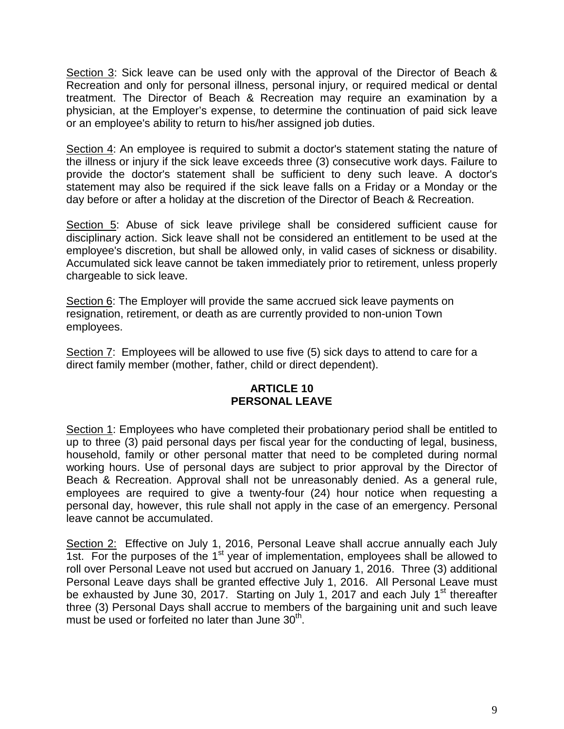Section 3: Sick leave can be used only with the approval of the Director of Beach & Recreation and only for personal illness, personal injury, or required medical or dental treatment. The Director of Beach & Recreation may require an examination by a physician, at the Employer's expense, to determine the continuation of paid sick leave or an employee's ability to return to his/her assigned job duties.

Section 4: An employee is required to submit a doctor's statement stating the nature of the illness or injury if the sick leave exceeds three (3) consecutive work days. Failure to provide the doctor's statement shall be sufficient to deny such leave. A doctor's statement may also be required if the sick leave falls on a Friday or a Monday or the day before or after a holiday at the discretion of the Director of Beach & Recreation.

Section 5: Abuse of sick leave privilege shall be considered sufficient cause for disciplinary action. Sick leave shall not be considered an entitlement to be used at the employee's discretion, but shall be allowed only, in valid cases of sickness or disability. Accumulated sick leave cannot be taken immediately prior to retirement, unless properly chargeable to sick leave.

Section 6: The Employer will provide the same accrued sick leave payments on resignation, retirement, or death as are currently provided to non-union Town employees.

<span id="page-10-0"></span>Section 7: Employees will be allowed to use five (5) sick days to attend to care for a direct family member (mother, father, child or direct dependent).

# **ARTICLE 10 PERSONAL LEAVE**

Section 1: Employees who have completed their probationary period shall be entitled to up to three (3) paid personal days per fiscal year for the conducting of legal, business, household, family or other personal matter that need to be completed during normal working hours. Use of personal days are subject to prior approval by the Director of Beach & Recreation. Approval shall not be unreasonably denied. As a general rule, employees are required to give a twenty-four (24) hour notice when requesting a personal day, however, this rule shall not apply in the case of an emergency. Personal leave cannot be accumulated.

Section 2: Effective on July 1, 2016, Personal Leave shall accrue annually each July 1st. For the purposes of the  $1<sup>st</sup>$  year of implementation, employees shall be allowed to roll over Personal Leave not used but accrued on January 1, 2016. Three (3) additional Personal Leave days shall be granted effective July 1, 2016. All Personal Leave must be exhausted by June 30, 2017. Starting on July 1, 2017 and each July 1<sup>st</sup> thereafter three (3) Personal Days shall accrue to members of the bargaining unit and such leave must be used or forfeited no later than June  $30<sup>th</sup>$ .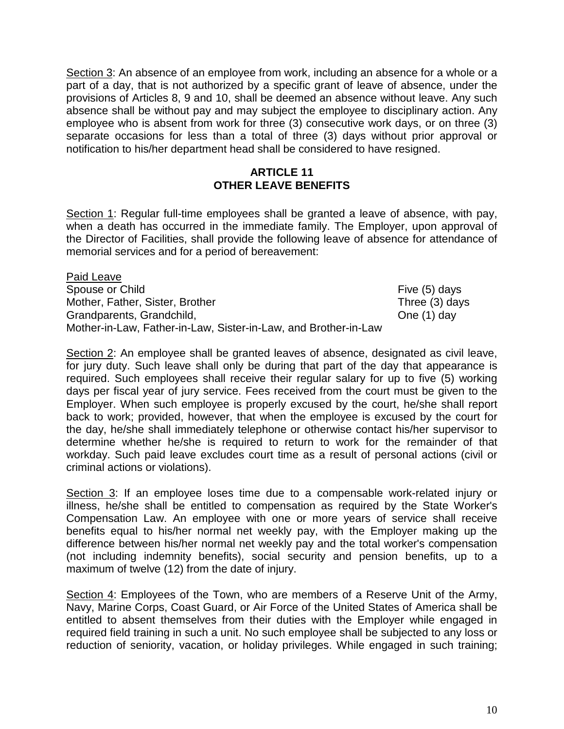Section 3: An absence of an employee from work, including an absence for a whole or a part of a day, that is not authorized by a specific grant of leave of absence, under the provisions of Articles 8, 9 and 10, shall be deemed an absence without leave. Any such absence shall be without pay and may subject the employee to disciplinary action. Any employee who is absent from work for three (3) consecutive work days, or on three (3) separate occasions for less than a total of three (3) days without prior approval or notification to his/her department head shall be considered to have resigned.

#### **ARTICLE 11 OTHER LEAVE BENEFITS**

<span id="page-11-0"></span>Section 1: Regular full-time employees shall be granted a leave of absence, with pay, when a death has occurred in the immediate family. The Employer, upon approval of the Director of Facilities, shall provide the following leave of absence for attendance of memorial services and for a period of bereavement:

Paid Leave Spouse or Child Five (5) days Mother, Father, Sister, Brother Three (3) days<br>
Grandparents, Grandchild, Canadian Cherchild, Crandparents, Grandchild, Grandparents, Grandchild, Mother-in-Law, Father-in-Law, Sister-in-Law, and Brother-in-Law

Section 2: An employee shall be granted leaves of absence, designated as civil leave, for jury duty. Such leave shall only be during that part of the day that appearance is required. Such employees shall receive their regular salary for up to five (5) working days per fiscal year of jury service. Fees received from the court must be given to the Employer. When such employee is properly excused by the court, he/she shall report back to work; provided, however, that when the employee is excused by the court for the day, he/she shall immediately telephone or otherwise contact his/her supervisor to determine whether he/she is required to return to work for the remainder of that workday. Such paid leave excludes court time as a result of personal actions (civil or criminal actions or violations).

Section 3: If an employee loses time due to a compensable work-related injury or illness, he/she shall be entitled to compensation as required by the State Worker's Compensation Law. An employee with one or more years of service shall receive benefits equal to his/her normal net weekly pay, with the Employer making up the difference between his/her normal net weekly pay and the total worker's compensation (not including indemnity benefits), social security and pension benefits, up to a maximum of twelve (12) from the date of injury.

Section 4: Employees of the Town, who are members of a Reserve Unit of the Army, Navy, Marine Corps, Coast Guard, or Air Force of the United States of America shall be entitled to absent themselves from their duties with the Employer while engaged in required field training in such a unit. No such employee shall be subjected to any loss or reduction of seniority, vacation, or holiday privileges. While engaged in such training;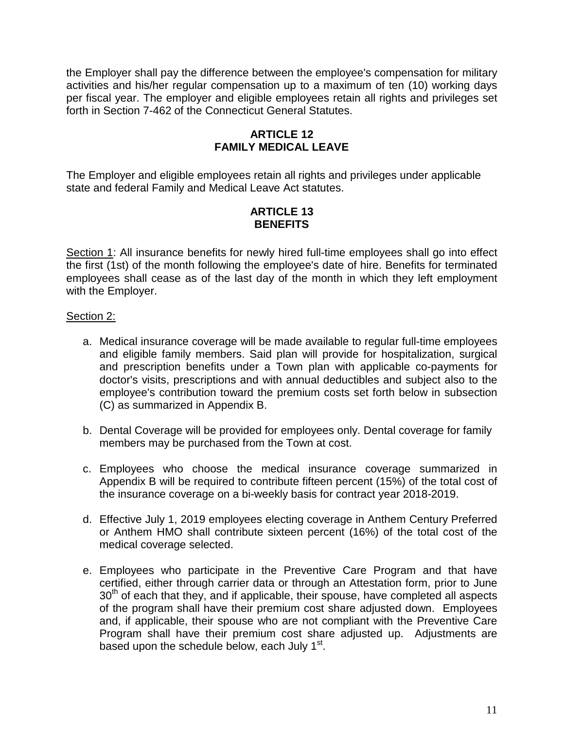<span id="page-12-0"></span>the Employer shall pay the difference between the employee's compensation for military activities and his/her regular compensation up to a maximum of ten (10) working days per fiscal year. The employer and eligible employees retain all rights and privileges set forth in Section 7-462 of the Connecticut General Statutes.

# **ARTICLE 12 FAMILY MEDICAL LEAVE**

<span id="page-12-1"></span>The Employer and eligible employees retain all rights and privileges under applicable state and federal Family and Medical Leave Act statutes.

#### **ARTICLE 13 BENEFITS**

Section 1: All insurance benefits for newly hired full-time employees shall go into effect the first (1st) of the month following the employee's date of hire. Benefits for terminated employees shall cease as of the last day of the month in which they left employment with the Employer.

### Section 2:

- a. Medical insurance coverage will be made available to regular full-time employees and eligible family members. Said plan will provide for hospitalization, surgical and prescription benefits under a Town plan with applicable co-payments for doctor's visits, prescriptions and with annual deductibles and subject also to the employee's contribution toward the premium costs set forth below in subsection (C) as summarized in Appendix B.
- b. Dental Coverage will be provided for employees only. Dental coverage for family members may be purchased from the Town at cost.
- c. Employees who choose the medical insurance coverage summarized in Appendix B will be required to contribute fifteen percent (15%) of the total cost of the insurance coverage on a bi-weekly basis for contract year 2018-2019.
- d. Effective July 1, 2019 employees electing coverage in Anthem Century Preferred or Anthem HMO shall contribute sixteen percent (16%) of the total cost of the medical coverage selected.
- e. Employees who participate in the Preventive Care Program and that have certified, either through carrier data or through an Attestation form, prior to June 30<sup>th</sup> of each that they, and if applicable, their spouse, have completed all aspects of the program shall have their premium cost share adjusted down. Employees and, if applicable, their spouse who are not compliant with the Preventive Care Program shall have their premium cost share adjusted up. Adjustments are based upon the schedule below, each July  $1<sup>st</sup>$ .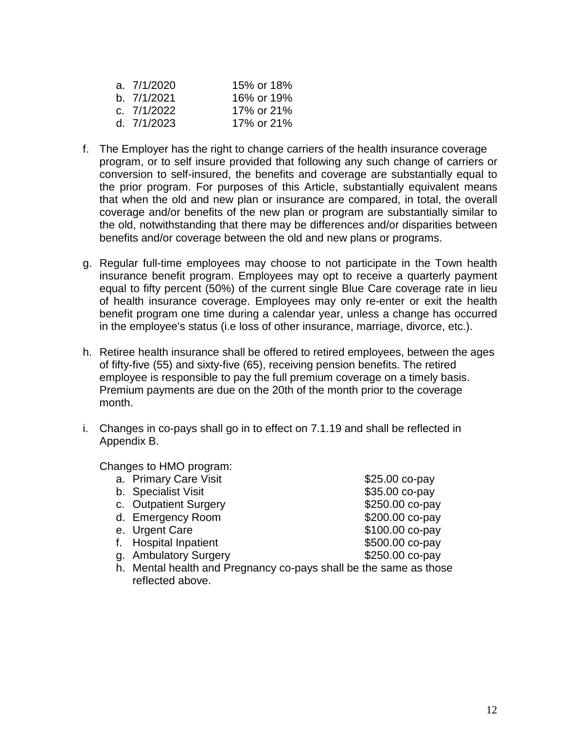| a. 7/1/2020 | 15% or 18% |
|-------------|------------|
| b. 7/1/2021 | 16% or 19% |
| c. 7/1/2022 | 17% or 21% |
| d. 7/1/2023 | 17% or 21% |

- f. The Employer has the right to change carriers of the health insurance coverage program, or to self insure provided that following any such change of carriers or conversion to self-insured, the benefits and coverage are substantially equal to the prior program. For purposes of this Article, substantially equivalent means that when the old and new plan or insurance are compared, in total, the overall coverage and/or benefits of the new plan or program are substantially similar to the old, notwithstanding that there may be differences and/or disparities between benefits and/or coverage between the old and new plans or programs.
- g. Regular full-time employees may choose to not participate in the Town health insurance benefit program. Employees may opt to receive a quarterly payment equal to fifty percent (50%) of the current single Blue Care coverage rate in lieu of health insurance coverage. Employees may only re-enter or exit the health benefit program one time during a calendar year, unless a change has occurred in the employee's status (i.e loss of other insurance, marriage, divorce, etc.).
- h. Retiree health insurance shall be offered to retired employees, between the ages of fifty-five (55) and sixty-five (65), receiving pension benefits. The retired employee is responsible to pay the full premium coverage on a timely basis. Premium payments are due on the 20th of the month prior to the coverage month.
- i. Changes in co-pays shall go in to effect on 7.1.19 and shall be reflected in Appendix B.

Changes to HMO program:

- a. Primary Care Visit  $$25.00$  co-pay
- 
- c. Outpatient Surgery **\$250.00 co-pay**
- d. Emergency Room \$200.00 co-pay
- 
- f. Hospital Inpatient  $$500.00$  co-pay
- g. Ambulatory Surgery **\$250.00 co-pay**
- h. Mental health and Pregnancy co-pays shall be the same as those reflected above.
- b. Specialist Visit  $\frac{1}{2}$  b. Specialist Visit e. Urgent Care  $$100.00$  co-pay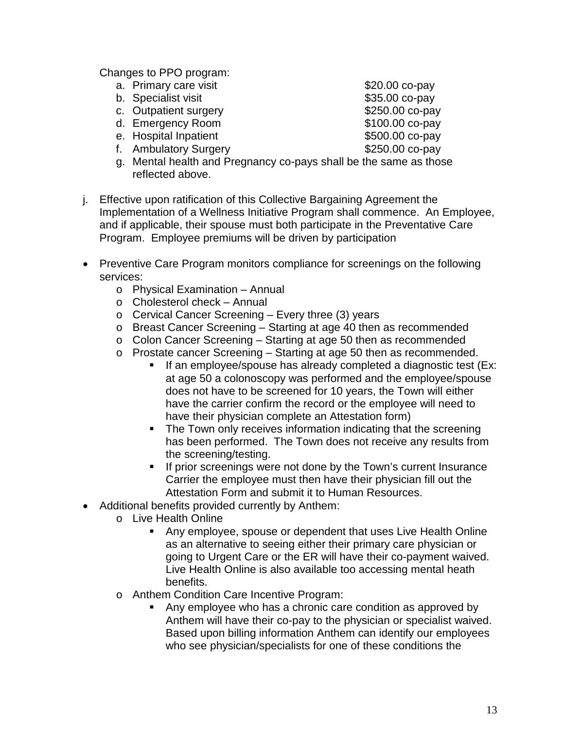Changes to PPO program:

- a. Primary care visit  $$20.00$  co-pay
- b. Specialist visit  $$35.00$  co-pay
- c. Outpatient surgery example that S250.00 co-pay
- d. Emergency Room \$100.00 co-pay
- e. Hospital Inpatient  $$500.00$  co-pay
- f. Ambulatory Surgery 6250.00 co-pay
- g. Mental health and Pregnancy co-pays shall be the same as those reflected above.
- j. Effective upon ratification of this Collective Bargaining Agreement the Implementation of a Wellness Initiative Program shall commence. An Employee, and if applicable, their spouse must both participate in the Preventative Care Program. Employee premiums will be driven by participation
- Preventive Care Program monitors compliance for screenings on the following services:
	- o Physical Examination Annual
	- o Cholesterol check Annual
	- o Cervical Cancer Screening Every three (3) years
	- o Breast Cancer Screening Starting at age 40 then as recommended
	- o Colon Cancer Screening Starting at age 50 then as recommended
	- o Prostate cancer Screening Starting at age 50 then as recommended.<br>If an employee/spouse has already completed a diagnostic test (
		- If an employee/spouse has already completed a diagnostic test (Ex: at age 50 a colonoscopy was performed and the employee/spouse does not have to be screened for 10 years, the Town will either have the carrier confirm the record or the employee will need to have their physician complete an Attestation form)
		- The Town only receives information indicating that the screening has been performed. The Town does not receive any results from the screening/testing.
		- **If prior screenings were not done by the Town's current Insurance** Carrier the employee must then have their physician fill out the Attestation Form and submit it to Human Resources.
- Additional benefits provided currently by Anthem:
	- o Live Health Online
		- Any employee, spouse or dependent that uses Live Health Online as an alternative to seeing either their primary care physician or going to Urgent Care or the ER will have their co-payment waived. Live Health Online is also available too accessing mental heath benefits.
	- o Anthem Condition Care Incentive Program:
		- Any employee who has a chronic care condition as approved by Anthem will have their co-pay to the physician or specialist waived. Based upon billing information Anthem can identify our employees who see physician/specialists for one of these conditions the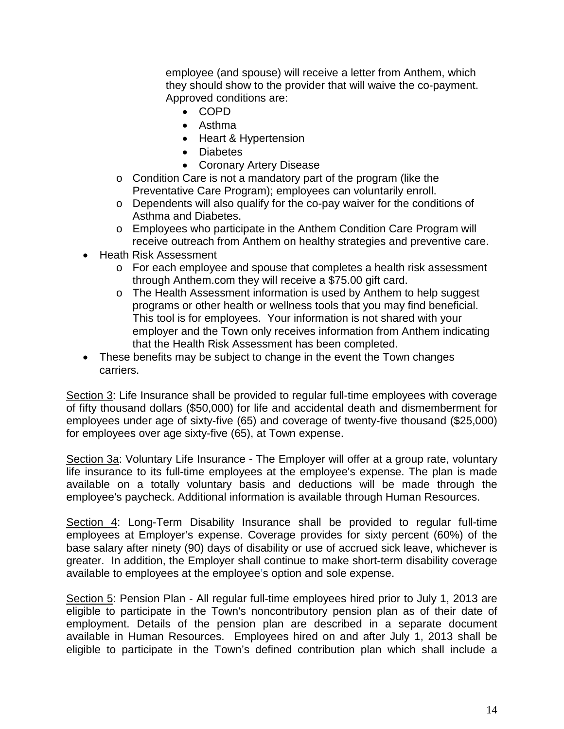employee (and spouse) will receive a letter from Anthem, which they should show to the provider that will waive the co-payment. Approved conditions are:

- COPD
- Asthma
- Heart & Hypertension
- Diabetes
- Coronary Artery Disease
- o Condition Care is not a mandatory part of the program (like the Preventative Care Program); employees can voluntarily enroll.
- o Dependents will also qualify for the co-pay waiver for the conditions of Asthma and Diabetes.
- o Employees who participate in the Anthem Condition Care Program will receive outreach from Anthem on healthy strategies and preventive care.
- Heath Risk Assessment
	- o For each employee and spouse that completes a health risk assessment through Anthem.com they will receive a \$75.00 gift card.
	- o The Health Assessment information is used by Anthem to help suggest programs or other health or wellness tools that you may find beneficial. This tool is for employees. Your information is not shared with your employer and the Town only receives information from Anthem indicating that the Health Risk Assessment has been completed.
- These benefits may be subject to change in the event the Town changes carriers.

Section 3: Life Insurance shall be provided to regular full-time employees with coverage of fifty thousand dollars (\$50,000) for life and accidental death and dismemberment for employees under age of sixty-five (65) and coverage of twenty-five thousand (\$25,000) for employees over age sixty-five (65), at Town expense.

Section 3a: Voluntary Life Insurance - The Employer will offer at a group rate, voluntary life insurance to its full-time employees at the employee's expense. The plan is made available on a totally voluntary basis and deductions will be made through the employee's paycheck. Additional information is available through Human Resources.

Section 4: Long-Term Disability Insurance shall be provided to regular full-time employees at Employer's expense. Coverage provides for sixty percent (60%) of the base salary after ninety (90) days of disability or use of accrued sick leave, whichever is greater. In addition, the Employer shall continue to make short-term disability coverage available to employees at the employee's option and sole expense.

Section 5: Pension Plan - All regular full-time employees hired prior to July 1, 2013 are eligible to participate in the Town's noncontributory pension plan as of their date of employment. Details of the pension plan are described in a separate document available in Human Resources. Employees hired on and after July 1, 2013 shall be eligible to participate in the Town's defined contribution plan which shall include a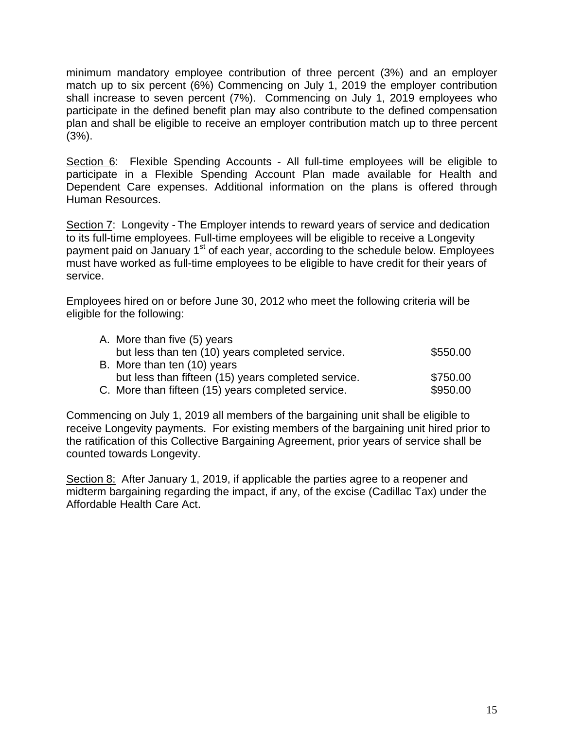minimum mandatory employee contribution of three percent (3%) and an employer match up to six percent (6%) Commencing on July 1, 2019 the employer contribution shall increase to seven percent (7%). Commencing on July 1, 2019 employees who participate in the defined benefit plan may also contribute to the defined compensation plan and shall be eligible to receive an employer contribution match up to three percent (3%).

Section 6: Flexible Spending Accounts - All full-time employees will be eligible to participate in a Flexible Spending Account Plan made available for Health and Dependent Care expenses. Additional information on the plans is offered through Human Resources.

Section 7: Longevity - The Employer intends to reward years of service and dedication to its full-time employees. Full-time employees will be eligible to receive a Longevity payment paid on January 1<sup>st</sup> of each year, according to the schedule below. Employees must have worked as full-time employees to be eligible to have credit for their years of service.

Employees hired on or before June 30, 2012 who meet the following criteria will be eligible for the following:

| A. More than five (5) years                         |          |
|-----------------------------------------------------|----------|
| but less than ten (10) years completed service.     | \$550.00 |
| B. More than ten (10) years                         |          |
| but less than fifteen (15) years completed service. | \$750.00 |
| C. More than fifteen (15) years completed service.  | \$950.00 |

Commencing on July 1, 2019 all members of the bargaining unit shall be eligible to receive Longevity payments. For existing members of the bargaining unit hired prior to the ratification of this Collective Bargaining Agreement, prior years of service shall be counted towards Longevity.

<span id="page-16-0"></span>Section 8: After January 1, 2019, if applicable the parties agree to a reopener and midterm bargaining regarding the impact, if any, of the excise (Cadillac Tax) under the Affordable Health Care Act.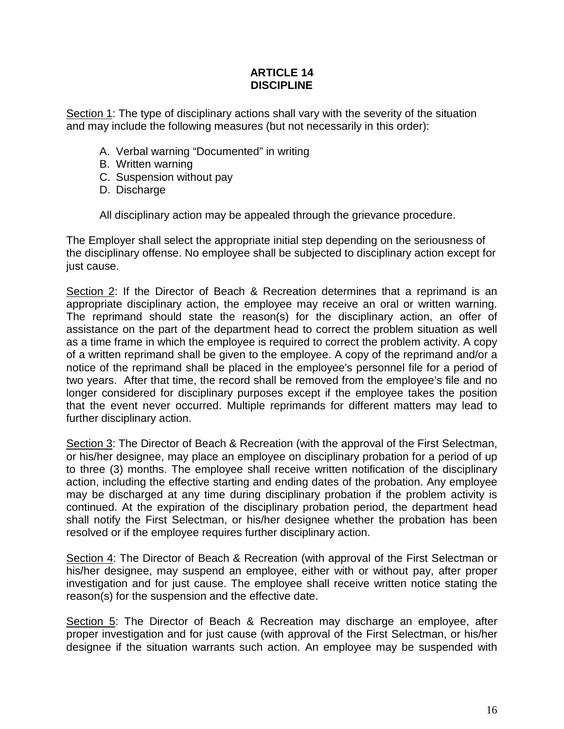#### **ARTICLE 14 DISCIPLINE**

Section 1: The type of disciplinary actions shall vary with the severity of the situation and may include the following measures (but not necessarily in this order):

- A. Verbal warning "Documented" in writing
- B. Written warning
- C. Suspension without pay
- D. Discharge

All disciplinary action may be appealed through the grievance procedure.

The Employer shall select the appropriate initial step depending on the seriousness of the disciplinary offense. No employee shall be subjected to disciplinary action except for just cause.

Section 2: If the Director of Beach & Recreation determines that a reprimand is an appropriate disciplinary action, the employee may receive an oral or written warning. The reprimand should state the reason(s) for the disciplinary action, an offer of assistance on the part of the department head to correct the problem situation as well as a time frame in which the employee is required to correct the problem activity. A copy of a written reprimand shall be given to the employee. A copy of the reprimand and/or a notice of the reprimand shall be placed in the employee's personnel file for a period of two years. After that time, the record shall be removed from the employee's file and no longer considered for disciplinary purposes except if the employee takes the position that the event never occurred. Multiple reprimands for different matters may lead to further disciplinary action.

Section 3: The Director of Beach & Recreation (with the approval of the First Selectman, or his/her designee, may place an employee on disciplinary probation for a period of up to three (3) months. The employee shall receive written notification of the disciplinary action, including the effective starting and ending dates of the probation. Any employee may be discharged at any time during disciplinary probation if the problem activity is continued. At the expiration of the disciplinary probation period, the department head shall notify the First Selectman, or his/her designee whether the probation has been resolved or if the employee requires further disciplinary action.

Section 4: The Director of Beach & Recreation (with approval of the First Selectman or his/her designee, may suspend an employee, either with or without pay, after proper investigation and for just cause. The employee shall receive written notice stating the reason(s) for the suspension and the effective date.

Section 5: The Director of Beach & Recreation may discharge an employee, after proper investigation and for just cause (with approval of the First Selectman, or his/her designee if the situation warrants such action. An employee may be suspended with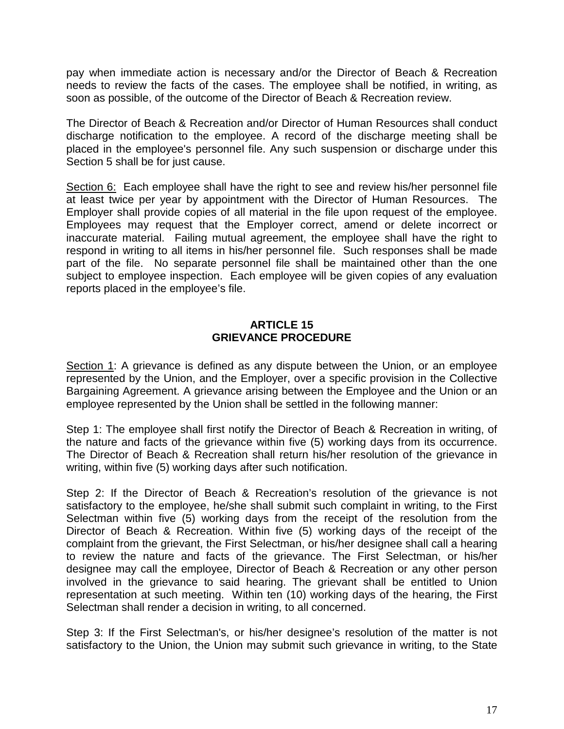pay when immediate action is necessary and/or the Director of Beach & Recreation needs to review the facts of the cases. The employee shall be notified, in writing, as soon as possible, of the outcome of the Director of Beach & Recreation review.

The Director of Beach & Recreation and/or Director of Human Resources shall conduct discharge notification to the employee. A record of the discharge meeting shall be placed in the employee's personnel file. Any such suspension or discharge under this Section 5 shall be for just cause.

Section 6: Each employee shall have the right to see and review his/her personnel file at least twice per year by appointment with the Director of Human Resources. The Employer shall provide copies of all material in the file upon request of the employee. Employees may request that the Employer correct, amend or delete incorrect or inaccurate material. Failing mutual agreement, the employee shall have the right to respond in writing to all items in his/her personnel file. Such responses shall be made part of the file. No separate personnel file shall be maintained other than the one subject to employee inspection. Each employee will be given copies of any evaluation reports placed in the employee's file.

#### **ARTICLE 15 GRIEVANCE PROCEDURE**

<span id="page-18-0"></span>Section 1: A grievance is defined as any dispute between the Union, or an employee represented by the Union, and the Employer, over a specific provision in the Collective Bargaining Agreement. A grievance arising between the Employee and the Union or an employee represented by the Union shall be settled in the following manner:

Step 1: The employee shall first notify the Director of Beach & Recreation in writing, of the nature and facts of the grievance within five (5) working days from its occurrence. The Director of Beach & Recreation shall return his/her resolution of the grievance in writing, within five (5) working days after such notification.

Step 2: If the Director of Beach & Recreation's resolution of the grievance is not satisfactory to the employee, he/she shall submit such complaint in writing, to the First Selectman within five (5) working days from the receipt of the resolution from the Director of Beach & Recreation. Within five (5) working days of the receipt of the complaint from the grievant, the First Selectman, or his/her designee shall call a hearing to review the nature and facts of the grievance. The First Selectman, or his/her designee may call the employee, Director of Beach & Recreation or any other person involved in the grievance to said hearing. The grievant shall be entitled to Union representation at such meeting. Within ten (10) working days of the hearing, the First Selectman shall render a decision in writing, to all concerned.

Step 3: If the First Selectman's, or his/her designee's resolution of the matter is not satisfactory to the Union, the Union may submit such grievance in writing, to the State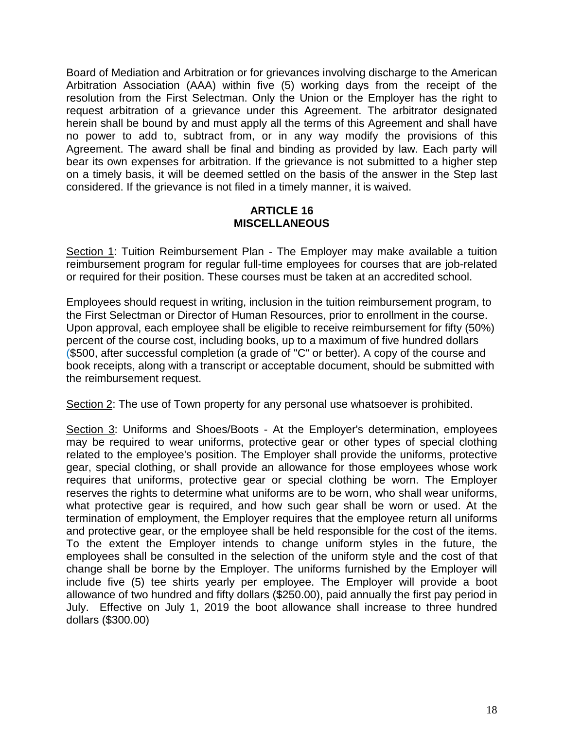Board of Mediation and Arbitration or for grievances involving discharge to the American Arbitration Association (AAA) within five (5) working days from the receipt of the resolution from the First Selectman. Only the Union or the Employer has the right to request arbitration of a grievance under this Agreement. The arbitrator designated herein shall be bound by and must apply all the terms of this Agreement and shall have no power to add to, subtract from, or in any way modify the provisions of this Agreement. The award shall be final and binding as provided by law. Each party will bear its own expenses for arbitration. If the grievance is not submitted to a higher step on a timely basis, it will be deemed settled on the basis of the answer in the Step last considered. If the grievance is not filed in a timely manner, it is waived.

#### **ARTICLE 16 MISCELLANEOUS**

<span id="page-19-0"></span>Section 1: Tuition Reimbursement Plan - The Employer may make available a tuition reimbursement program for regular full-time employees for courses that are job-related or required for their position. These courses must be taken at an accredited school.

Employees should request in writing, inclusion in the tuition reimbursement program, to the First Selectman or Director of Human Resources, prior to enrollment in the course. Upon approval, each employee shall be eligible to receive reimbursement for fifty (50%) percent of the course cost, including books, up to a maximum of five hundred dollars (\$500, after successful completion (a grade of "C" or better). A copy of the course and book receipts, along with a transcript or acceptable document, should be submitted with the reimbursement request.

Section 2: The use of Town property for any personal use whatsoever is prohibited.

Section 3: Uniforms and Shoes/Boots - At the Employer's determination, employees may be required to wear uniforms, protective gear or other types of special clothing related to the employee's position. The Employer shall provide the uniforms, protective gear, special clothing, or shall provide an allowance for those employees whose work requires that uniforms, protective gear or special clothing be worn. The Employer reserves the rights to determine what uniforms are to be worn, who shall wear uniforms, what protective gear is required, and how such gear shall be worn or used. At the termination of employment, the Employer requires that the employee return all uniforms and protective gear, or the employee shall be held responsible for the cost of the items. To the extent the Employer intends to change uniform styles in the future, the employees shall be consulted in the selection of the uniform style and the cost of that change shall be borne by the Employer. The uniforms furnished by the Employer will include five (5) tee shirts yearly per employee. The Employer will provide a boot allowance of two hundred and fifty dollars (\$250.00), paid annually the first pay period in July. Effective on July 1, 2019 the boot allowance shall increase to three hundred dollars (\$300.00)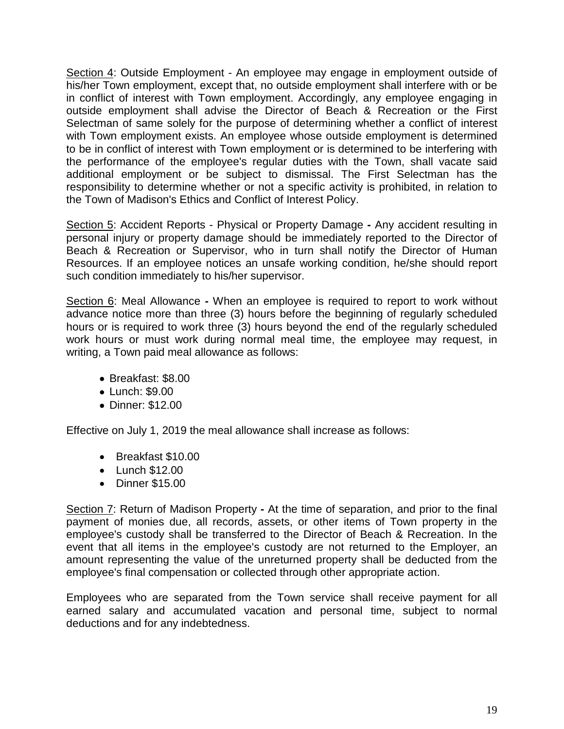Section 4: Outside Employment - An employee may engage in employment outside of his/her Town employment, except that, no outside employment shall interfere with or be in conflict of interest with Town employment. Accordingly, any employee engaging in outside employment shall advise the Director of Beach & Recreation or the First Selectman of same solely for the purpose of determining whether a conflict of interest with Town employment exists. An employee whose outside employment is determined to be in conflict of interest with Town employment or is determined to be interfering with the performance of the employee's regular duties with the Town, shall vacate said additional employment or be subject to dismissal. The First Selectman has the responsibility to determine whether or not a specific activity is prohibited, in relation to the Town of Madison's Ethics and Conflict of Interest Policy.

Section 5: Accident Reports - Physical or Property Damage **-** Any accident resulting in personal injury or property damage should be immediately reported to the Director of Beach & Recreation or Supervisor, who in turn shall notify the Director of Human Resources. If an employee notices an unsafe working condition, he/she should report such condition immediately to his/her supervisor.

Section 6: Meal Allowance **-** When an employee is required to report to work without advance notice more than three (3) hours before the beginning of regularly scheduled hours or is required to work three (3) hours beyond the end of the regularly scheduled work hours or must work during normal meal time, the employee may request, in writing, a Town paid meal allowance as follows:

- Breakfast: \$8.00
- Lunch: \$9.00
- Dinner: \$12.00

Effective on July 1, 2019 the meal allowance shall increase as follows:

- Breakfast \$10.00
- Lunch \$12.00
- Dinner \$15.00

Section 7: Return of Madison Property **-** At the time of separation, and prior to the final payment of monies due, all records, assets, or other items of Town property in the employee's custody shall be transferred to the Director of Beach & Recreation. In the event that all items in the employee's custody are not returned to the Employer, an amount representing the value of the unreturned property shall be deducted from the employee's final compensation or collected through other appropriate action.

Employees who are separated from the Town service shall receive payment for all earned salary and accumulated vacation and personal time, subject to normal deductions and for any indebtedness.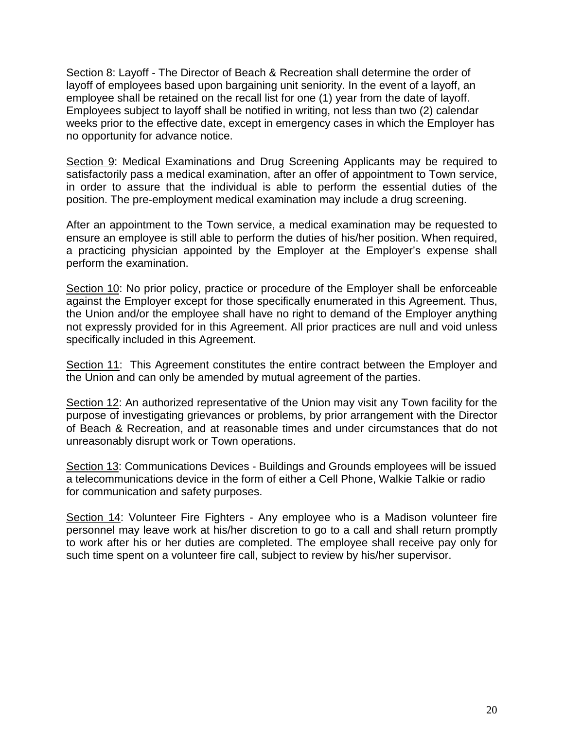Section 8: Layoff - The Director of Beach & Recreation shall determine the order of layoff of employees based upon bargaining unit seniority. In the event of a layoff, an employee shall be retained on the recall list for one (1) year from the date of layoff. Employees subject to layoff shall be notified in writing, not less than two (2) calendar weeks prior to the effective date, except in emergency cases in which the Employer has no opportunity for advance notice.

Section 9: Medical Examinations and Drug Screening Applicants may be required to satisfactorily pass a medical examination, after an offer of appointment to Town service, in order to assure that the individual is able to perform the essential duties of the position. The pre-employment medical examination may include a drug screening.

After an appointment to the Town service, a medical examination may be requested to ensure an employee is still able to perform the duties of his/her position. When required, a practicing physician appointed by the Employer at the Employer's expense shall perform the examination.

Section 10: No prior policy, practice or procedure of the Employer shall be enforceable against the Employer except for those specifically enumerated in this Agreement. Thus, the Union and/or the employee shall have no right to demand of the Employer anything not expressly provided for in this Agreement. All prior practices are null and void unless specifically included in this Agreement.

Section 11: This Agreement constitutes the entire contract between the Employer and the Union and can only be amended by mutual agreement of the parties.

Section 12: An authorized representative of the Union may visit any Town facility for the purpose of investigating grievances or problems, by prior arrangement with the Director of Beach & Recreation, and at reasonable times and under circumstances that do not unreasonably disrupt work or Town operations.

Section 13: Communications Devices - Buildings and Grounds employees will be issued a telecommunications device in the form of either a Cell Phone, Walkie Talkie or radio for communication and safety purposes.

Section 14: Volunteer Fire Fighters - Any employee who is a Madison volunteer fire personnel may leave work at his/her discretion to go to a call and shall return promptly to work after his or her duties are completed. The employee shall receive pay only for such time spent on a volunteer fire call, subject to review by his/her supervisor.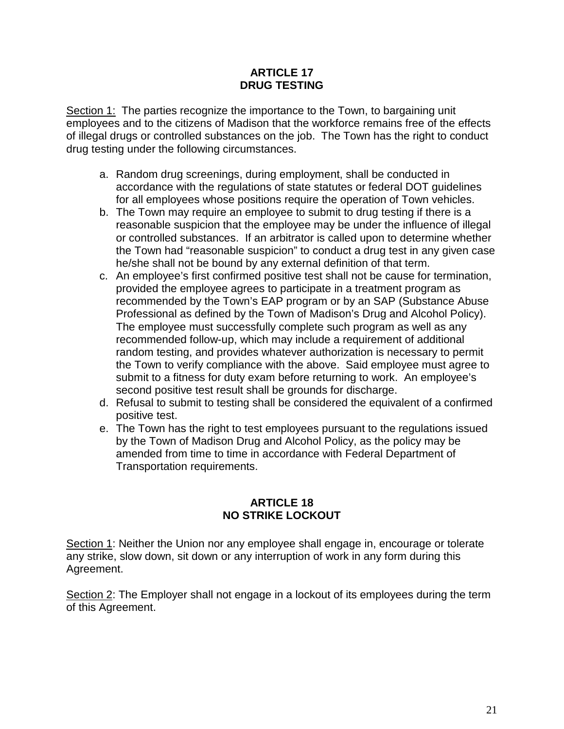#### **ARTICLE 17 DRUG TESTING**

Section 1: The parties recognize the importance to the Town, to bargaining unit employees and to the citizens of Madison that the workforce remains free of the effects of illegal drugs or controlled substances on the job. The Town has the right to conduct drug testing under the following circumstances.

- a. Random drug screenings, during employment, shall be conducted in accordance with the regulations of state statutes or federal DOT guidelines for all employees whose positions require the operation of Town vehicles.
- b. The Town may require an employee to submit to drug testing if there is a reasonable suspicion that the employee may be under the influence of illegal or controlled substances. If an arbitrator is called upon to determine whether the Town had "reasonable suspicion" to conduct a drug test in any given case he/she shall not be bound by any external definition of that term.
- c. An employee's first confirmed positive test shall not be cause for termination, provided the employee agrees to participate in a treatment program as recommended by the Town's EAP program or by an SAP (Substance Abuse Professional as defined by the Town of Madison's Drug and Alcohol Policy). The employee must successfully complete such program as well as any recommended follow-up, which may include a requirement of additional random testing, and provides whatever authorization is necessary to permit the Town to verify compliance with the above. Said employee must agree to submit to a fitness for duty exam before returning to work. An employee's second positive test result shall be grounds for discharge.
- d. Refusal to submit to testing shall be considered the equivalent of a confirmed positive test.
- e. The Town has the right to test employees pursuant to the regulations issued by the Town of Madison Drug and Alcohol Policy, as the policy may be amended from time to time in accordance with Federal Department of Transportation requirements.

### **ARTICLE 18 NO STRIKE LOCKOUT**

<span id="page-22-0"></span>Section 1: Neither the Union nor any employee shall engage in, encourage or tolerate any strike, slow down, sit down or any interruption of work in any form during this Agreement.

Section 2: The Employer shall not engage in a lockout of its employees during the term of this Agreement.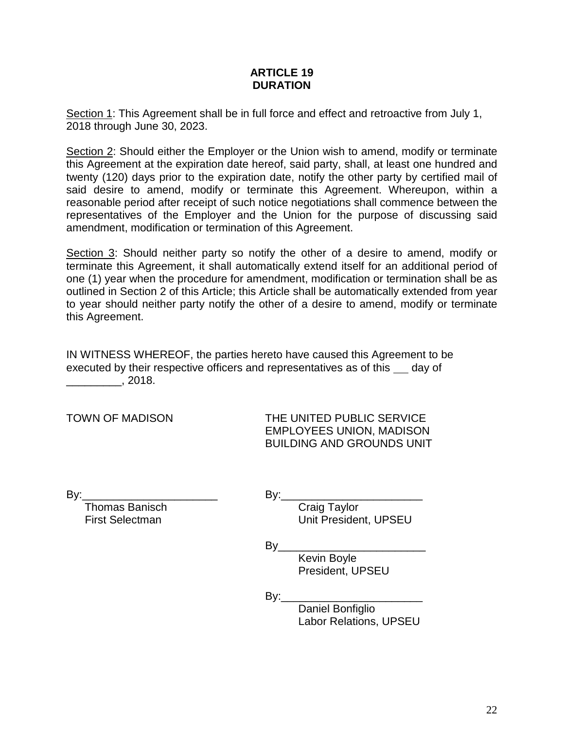#### **ARTICLE 19 DURATION**

<span id="page-23-0"></span>Section 1: This Agreement shall be in full force and effect and retroactive from July 1, 2018 through June 30, 2023.

Section 2: Should either the Employer or the Union wish to amend, modify or terminate this Agreement at the expiration date hereof, said party, shall, at least one hundred and twenty (120) days prior to the expiration date, notify the other party by certified mail of said desire to amend, modify or terminate this Agreement. Whereupon, within a reasonable period after receipt of such notice negotiations shall commence between the representatives of the Employer and the Union for the purpose of discussing said amendment, modification or termination of this Agreement.

Section 3: Should neither party so notify the other of a desire to amend, modify or terminate this Agreement, it shall automatically extend itself for an additional period of one (1) year when the procedure for amendment, modification or termination shall be as outlined in Section 2 of this Article; this Article shall be automatically extended from year to year should neither party notify the other of a desire to amend, modify or terminate this Agreement.

IN WITNESS WHEREOF, the parties hereto have caused this Agreement to be executed by their respective officers and representatives as of this same day of  $\frac{2018.}{\sqrt{2018}}$ 

TOWN OF MADISON THE UNITED PUBLIC SERVICE EMPLOYEES UNION, MADISON BUILDING AND GROUNDS UNIT

**Thomas Banisch Craig Taylor** 

By:\_\_\_\_\_\_\_\_\_\_\_\_\_\_\_\_\_\_\_\_\_\_ By:\_\_\_\_\_\_\_\_\_\_\_\_\_\_\_\_\_\_\_\_\_\_\_

First Selectman Unit President, UPSEU

 $By_$ 

Kevin Boyle President, UPSEU

 $By:$ 

Daniel Bonfiglio Labor Relations, UPSEU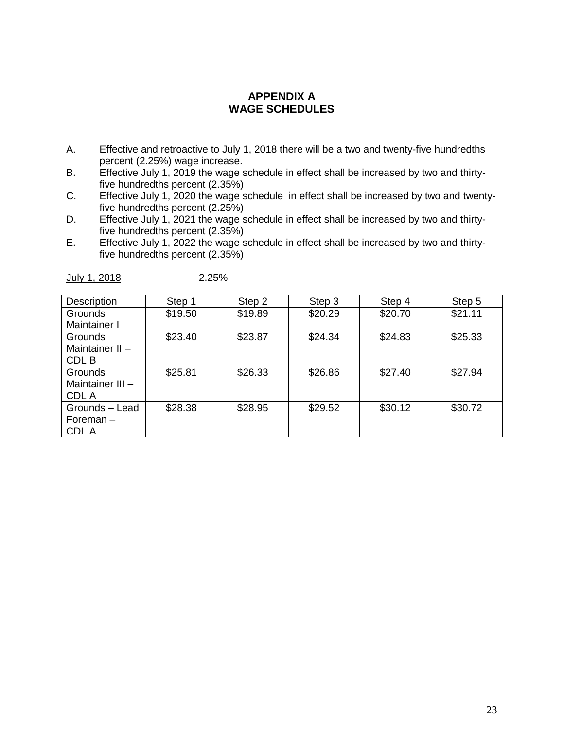# **APPENDIX A WAGE SCHEDULES**

- <span id="page-24-0"></span>A. Effective and retroactive to July 1, 2018 there will be a two and twenty-five hundredths percent (2.25%) wage increase.
- B. Effective July 1, 2019 the wage schedule in effect shall be increased by two and thirtyfive hundredths percent (2.35%)
- C. Effective July 1, 2020 the wage schedule in effect shall be increased by two and twentyfive hundredths percent (2.25%)
- D. Effective July 1, 2021 the wage schedule in effect shall be increased by two and thirtyfive hundredths percent (2.35%)
- E. Effective July 1, 2022 the wage schedule in effect shall be increased by two and thirtyfive hundredths percent (2.35%)

| <b>Description</b> | Step 1  | Step 2  | Step 3  | Step 4  | Step 5  |
|--------------------|---------|---------|---------|---------|---------|
| Grounds            | \$19.50 | \$19.89 | \$20.29 | \$20.70 | \$21.11 |
| Maintainer I       |         |         |         |         |         |
| Grounds            | \$23.40 | \$23.87 | \$24.34 | \$24.83 | \$25.33 |
| Maintainer II $-$  |         |         |         |         |         |
| CDL B              |         |         |         |         |         |
| Grounds            | \$25.81 | \$26.33 | \$26.86 | \$27.40 | \$27.94 |
| Maintainer III $-$ |         |         |         |         |         |
| CDL A              |         |         |         |         |         |
| Grounds - Lead     | \$28.38 | \$28.95 | \$29.52 | \$30.12 | \$30.72 |
| Foreman-           |         |         |         |         |         |
| CDL A              |         |         |         |         |         |

July 1, 2018 2.25%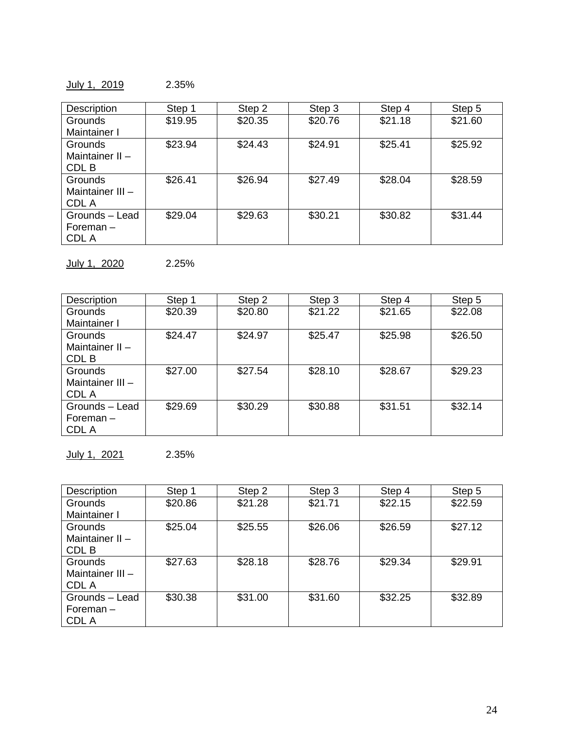July 1, 2019 2.35%

| <b>Description</b> | Step 1  | Step 2  | Step 3  | Step 4  | Step 5  |
|--------------------|---------|---------|---------|---------|---------|
| <b>Grounds</b>     | \$19.95 | \$20.35 | \$20.76 | \$21.18 | \$21.60 |
| Maintainer I       |         |         |         |         |         |
| <b>Grounds</b>     | \$23.94 | \$24.43 | \$24.91 | \$25.41 | \$25.92 |
| Maintainer II-     |         |         |         |         |         |
| CDL B              |         |         |         |         |         |
| <b>Grounds</b>     | \$26.41 | \$26.94 | \$27.49 | \$28.04 | \$28.59 |
| Maintainer III -   |         |         |         |         |         |
| CDL A              |         |         |         |         |         |
| Grounds - Lead     | \$29.04 | \$29.63 | \$30.21 | \$30.82 | \$31.44 |
| Foreman $-$        |         |         |         |         |         |
| CDL A              |         |         |         |         |         |

July 1, 2020 2.25%

| Description       | Step 1  | Step 2  | Step 3  | Step 4  | Step 5  |
|-------------------|---------|---------|---------|---------|---------|
| <b>Grounds</b>    | \$20.39 | \$20.80 | \$21.22 | \$21.65 | \$22.08 |
| Maintainer I      |         |         |         |         |         |
| <b>Grounds</b>    | \$24.47 | \$24.97 | \$25.47 | \$25.98 | \$26.50 |
| Maintainer II $-$ |         |         |         |         |         |
| CDL B             |         |         |         |         |         |
| <b>Grounds</b>    | \$27.00 | \$27.54 | \$28.10 | \$28.67 | \$29.23 |
| Maintainer III -  |         |         |         |         |         |
| CDL A             |         |         |         |         |         |
| Grounds - Lead    | \$29.69 | \$30.29 | \$30.88 | \$31.51 | \$32.14 |
| Foreman-          |         |         |         |         |         |
| CDL A             |         |         |         |         |         |

July 1, 2021 2.35%

| Description       | Step 1  | Step 2  | Step 3  | Step 4  | Step 5  |
|-------------------|---------|---------|---------|---------|---------|
| <b>Grounds</b>    | \$20.86 | \$21.28 | \$21.71 | \$22.15 | \$22.59 |
| Maintainer I      |         |         |         |         |         |
| <b>Grounds</b>    | \$25.04 | \$25.55 | \$26.06 | \$26.59 | \$27.12 |
| Maintainer II $-$ |         |         |         |         |         |
| CDL B             |         |         |         |         |         |
| <b>Grounds</b>    | \$27.63 | \$28.18 | \$28.76 | \$29.34 | \$29.91 |
| Maintainer III -  |         |         |         |         |         |
| CDL A             |         |         |         |         |         |
| Grounds - Lead    | \$30.38 | \$31.00 | \$31.60 | \$32.25 | \$32.89 |
| Foreman-          |         |         |         |         |         |
| CDL A             |         |         |         |         |         |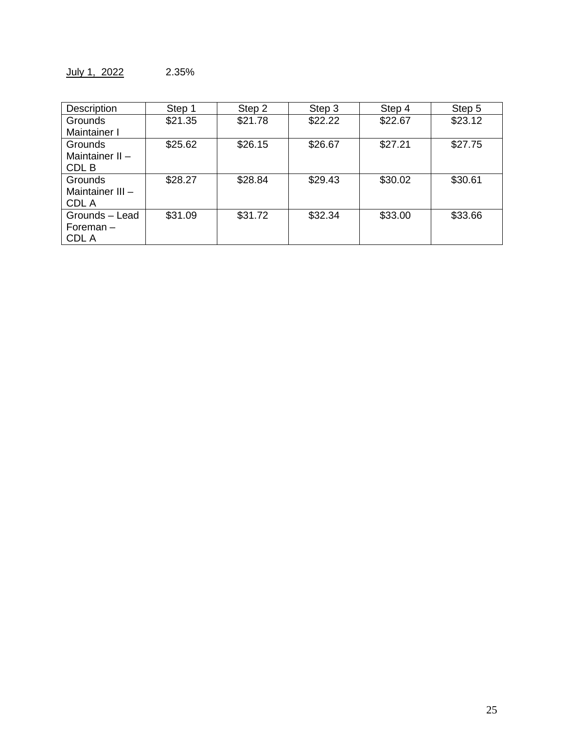| Description      | Step 1  | Step 2  | Step 3  | Step 4  | Step 5  |
|------------------|---------|---------|---------|---------|---------|
| Grounds          | \$21.35 | \$21.78 | \$22.22 | \$22.67 | \$23.12 |
| Maintainer I     |         |         |         |         |         |
| Grounds          | \$25.62 | \$26.15 | \$26.67 | \$27.21 | \$27.75 |
| Maintainer II-   |         |         |         |         |         |
| CDL B            |         |         |         |         |         |
| Grounds          | \$28.27 | \$28.84 | \$29.43 | \$30.02 | \$30.61 |
| Maintainer III - |         |         |         |         |         |
| <b>CDLA</b>      |         |         |         |         |         |
| Grounds - Lead   | \$31.09 | \$31.72 | \$32.34 | \$33.00 | \$33.66 |
| Foreman-         |         |         |         |         |         |
| CDL A            |         |         |         |         |         |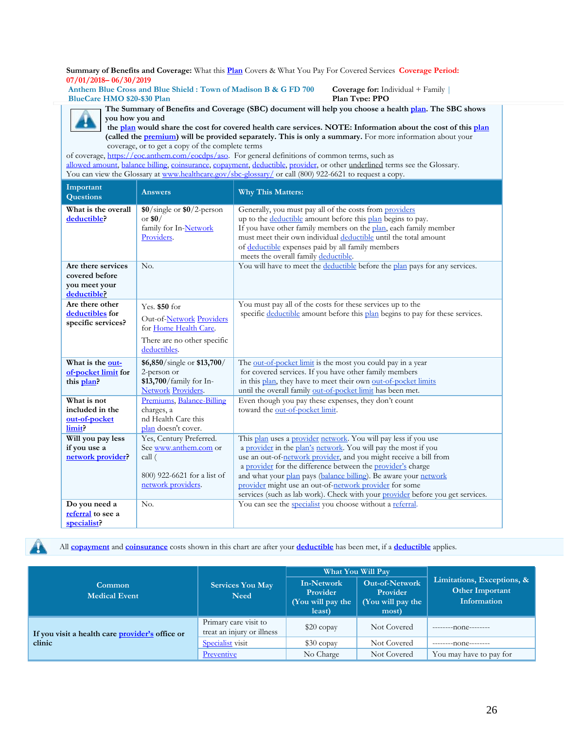**Summary of Benefits and Coverage:** What this **Plan** Covers & What You Pay For Covered Services **Coverage Period: 07/01/2018– 06/30/2019**

**Anthem Blue Cross and Blue Shield : Town of Madison B & G FD 700 BlueCare HMO \$20-\$30 Plan** 

**Coverage for:** Individual + Family | **Plan Type: PPO**



**The Summary of Benefits and Coverage (SBC) document will help you choose a health [plan.](https://www.healthcare.gov/sbc-glossary/) The SBC shows you how you and**

**the [plan](https://www.healthcare.gov/sbc-glossary/) would share the cost for covered health care services. NOTE: Information about the cost of this [plan](https://www.healthcare.gov/sbc-glossary/) (called th[e premium\)](https://www.healthcare.gov/sbc-glossary/) will be provided separately. This is only a summary.** For more information about your coverage, or to get a copy of the complete terms

of coverage, [https://eoc.anthem.com/eocdps/aso.](https://eoc.anthem.com/eocdps/aso) For general definitions of common terms, such as [allowed amount, balance billing, coinsurance, copayment, deductible, provider,](https://www.healthcare.gov/sbc-glossary/) or other underlined terms see the Glossary. You can view the Glossary at [www.healthcare.gov/sbc-glossary/](http://www.healthcare.gov/sbc-glossary/) or call (800) 922-6621 to request a copy.

| Important<br><b>Questions</b>        | <b>Answers</b>                              | <b>Why This Matters:</b>                                                                                                          |
|--------------------------------------|---------------------------------------------|-----------------------------------------------------------------------------------------------------------------------------------|
| What is the overall                  | $$0/\text{single}$ or $$0/2$ -person        | Generally, you must pay all of the costs from providers                                                                           |
| deductible?                          | or $$0/$                                    | up to the deductible amount before this plan begins to pay.                                                                       |
|                                      | family for In-Network                       | If you have other family members on the plan, each family member                                                                  |
|                                      | Providers.                                  | must meet their own individual deductible until the total amount                                                                  |
|                                      |                                             | of deductible expenses paid by all family members                                                                                 |
|                                      |                                             | meets the overall family deductible.                                                                                              |
| Are there services<br>covered before | No.                                         | You will have to meet the deductible before the plan pays for any services.                                                       |
| you meet your                        |                                             |                                                                                                                                   |
| deductible?                          |                                             |                                                                                                                                   |
| Are there other                      | Yes. $$50$ for                              | You must pay all of the costs for these services up to the                                                                        |
| deductibles for                      | Out-of-Network Providers                    | specific deductible amount before this plan begins to pay for these services.                                                     |
| specific services?                   | for Home Health Care.                       |                                                                                                                                   |
|                                      |                                             |                                                                                                                                   |
|                                      | There are no other specific<br>deductibles. |                                                                                                                                   |
|                                      |                                             |                                                                                                                                   |
| What is the out-                     | \$6,850/single or \$13,700/                 | The out-of-pocket limit is the most you could pay in a year                                                                       |
| of-pocket limit for                  | 2-person or                                 | for covered services. If you have other family members                                                                            |
| this plan?                           | \$13,700/family for In-                     | in this plan, they have to meet their own out-of-pocket limits                                                                    |
|                                      | <b>Network Providers.</b>                   | until the overall family out-of-pocket limit has been met.                                                                        |
| What is not                          | Premiums, Balance-Billing                   | Even though you pay these expenses, they don't count                                                                              |
| included in the                      | charges, a                                  | toward the out-of-pocket limit.                                                                                                   |
| out-of-pocket                        | nd Health Care this                         |                                                                                                                                   |
| limit?                               | plan doesn't cover.                         |                                                                                                                                   |
| Will you pay less                    | Yes, Century Preferred.                     | This plan uses a provider network. You will pay less if you use<br>a provider in the plan's network. You will pay the most if you |
| if you use a<br>network provider?    | See www.anthem.com or<br>call (             | use an out-of-network provider, and you might receive a bill from                                                                 |
|                                      |                                             | a provider for the difference between the provider's charge                                                                       |
|                                      | 800) 922-6621 for a list of                 | and what your plan pays (balance billing). Be aware your network                                                                  |
|                                      | network providers.                          | provider might use an out-of-network provider for some                                                                            |
|                                      |                                             | services (such as lab work). Check with your provider before you get services.                                                    |
| Do you need a                        | No.                                         | You can see the specialist you choose without a referral.                                                                         |
| referral to see a                    |                                             |                                                                                                                                   |
| specialist?                          |                                             |                                                                                                                                   |

All **[copayment](https://www.healthcare.gov/sbc-glossary/)** and **[coinsurance](https://www.healthcare.gov/sbc-glossary/)** costs shown in this chart are after your **[deductible](https://www.healthcare.gov/sbc-glossary/)** has been met, if a **[deductible](https://www.healthcare.gov/sbc-glossary/)** applies.

|                                                 |                                                     |                                                       | What You Will Pay                                               |                                                                     |
|-------------------------------------------------|-----------------------------------------------------|-------------------------------------------------------|-----------------------------------------------------------------|---------------------------------------------------------------------|
| Common<br><b>Medical Event</b>                  | <b>Services You May</b><br><b>Need</b>              | In-Network<br>Provider<br>(You will pay the<br>least) | <b>Out-of-Network</b><br>Provider<br>(You will pay the<br>most) | Limitations, Exceptions, &<br>Other Important<br><b>Information</b> |
| If you visit a health care provider's office or | Primary care visit to<br>treat an injury or illness | $$20$ copay                                           | Not Covered                                                     | $-----non-$                                                         |
| clinic                                          | <b>Specialist</b> visit                             | $$30$ copay                                           | Not Covered                                                     | $-----1010---$                                                      |
|                                                 | Preventive                                          | No Charge                                             | Not Covered                                                     | You may have to pay for                                             |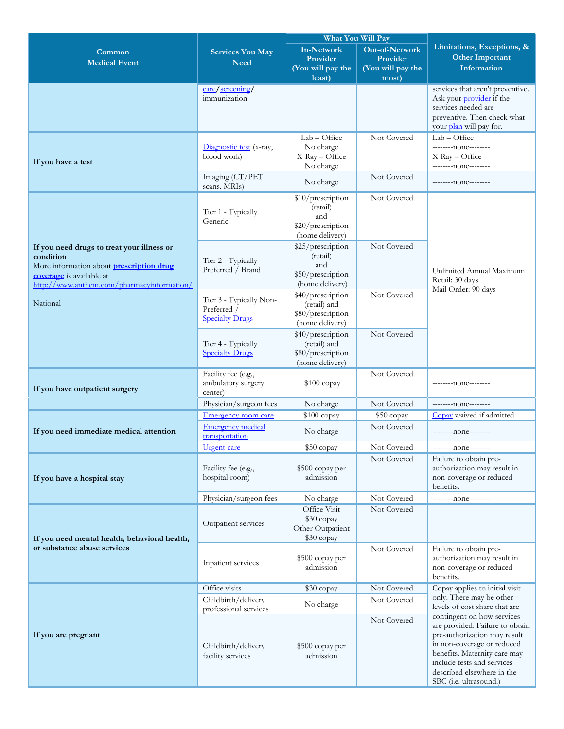|                                                                             |                                                      |                                      | What You Will Pay          |                                                             |
|-----------------------------------------------------------------------------|------------------------------------------------------|--------------------------------------|----------------------------|-------------------------------------------------------------|
| Common                                                                      | <b>Services You May</b>                              | <b>In-Network</b>                    | <b>Out-of-Network</b>      | Limitations, Exceptions, &                                  |
| <b>Medical Event</b>                                                        | <b>Need</b>                                          | Provider                             | Provider                   | <b>Other Important</b>                                      |
|                                                                             |                                                      | (You will pay the<br>least)          | (You will pay the          | Information                                                 |
|                                                                             |                                                      |                                      | most)                      | services that aren't preventive.                            |
|                                                                             | care/screening/<br>immunization                      |                                      |                            | Ask your <i>provider</i> if the                             |
|                                                                             |                                                      |                                      |                            | services needed are                                         |
|                                                                             |                                                      |                                      |                            | preventive. Then check what                                 |
|                                                                             |                                                      |                                      |                            | your plan will pay for.                                     |
|                                                                             | Diagnostic test (x-ray,                              | $Lab - Office$<br>No charge          | Not Covered                | $Lab - Office$<br>--------- none--------                    |
|                                                                             | blood work)                                          | X-Ray - Office                       |                            | $X$ -Ray $-$ Office                                         |
| If you have a test                                                          |                                                      | No charge                            |                            | ---------none--------                                       |
|                                                                             | Imaging (CT/PET<br>scans, MRIs)                      | No charge                            | Not Covered                | --------- none--------                                      |
|                                                                             |                                                      | \$10/prescription                    | Not Covered                |                                                             |
|                                                                             | Tier 1 - Typically                                   | (retail)<br>and                      |                            |                                                             |
|                                                                             | Generic                                              | \$20/prescription                    |                            |                                                             |
|                                                                             |                                                      | (home delivery)                      |                            |                                                             |
| If you need drugs to treat your illness or                                  |                                                      | \$25/prescription                    | Not Covered                |                                                             |
| condition                                                                   | Tier 2 - Typically                                   | (retail)<br>and                      |                            |                                                             |
| More information about <b>prescription drug</b><br>coverage is available at | Preferred / Brand                                    | \$50/prescription                    |                            | Unlimited Annual Maximum                                    |
| http://www.anthem.com/pharmacyinformation/                                  |                                                      | (home delivery)                      |                            | Retail: 30 days                                             |
|                                                                             | Tier 3 - Typically Non-                              | \$40/prescription                    | Not Covered                | Mail Order: 90 days                                         |
| National                                                                    | Preferred /<br><b>Specialty Drugs</b>                | (retail) and                         |                            |                                                             |
|                                                                             |                                                      | \$80/prescription<br>(home delivery) |                            |                                                             |
|                                                                             |                                                      | \$40/prescription                    | Not Covered                |                                                             |
|                                                                             | Tier 4 - Typically                                   | (retail) and                         |                            |                                                             |
|                                                                             | <b>Specialty Drugs</b>                               | \$80/prescription                    |                            |                                                             |
|                                                                             |                                                      | (home delivery)                      | Not Covered                |                                                             |
|                                                                             | Facility fee (e.g.,<br>ambulatory surgery<br>center) | $$100$ copay                         |                            | --------- none--------                                      |
| If you have outpatient surgery                                              |                                                      |                                      |                            |                                                             |
|                                                                             | Physician/surgeon fees                               | No charge                            | Not Covered                | ---------- none--------                                     |
|                                                                             | Emergency room care                                  | $$100$ copay                         | \$50 copay                 | Copay waived if admitted.                                   |
| If you need immediate medical attention                                     | <b>Emergency medical</b>                             | No charge                            | Not Covered                | --------- none--------                                      |
|                                                                             | transportation                                       |                                      |                            |                                                             |
|                                                                             | <b>Urgent</b> care                                   | \$50 copay                           | Not Covered<br>Not Covered | --------none-------<br>Failure to obtain pre-               |
|                                                                             | Facility fee (e.g.,                                  | \$500 copay per                      |                            | authorization may result in                                 |
| If you have a hospital stay                                                 | hospital room)                                       | admission                            |                            | non-coverage or reduced                                     |
|                                                                             |                                                      |                                      |                            | benefits.                                                   |
|                                                                             | Physician/surgeon fees                               | No charge                            | Not Covered                | ---------none--------                                       |
|                                                                             |                                                      | Office Visit<br>\$30 copay           | Not Covered                |                                                             |
|                                                                             | Outpatient services                                  | Other Outpatient                     |                            |                                                             |
| If you need mental health, behavioral health,                               |                                                      | \$30 copay                           |                            |                                                             |
| or substance abuse services                                                 |                                                      |                                      | Not Covered                | Failure to obtain pre-                                      |
|                                                                             | Inpatient services                                   | \$500 copay per<br>admission         |                            | authorization may result in<br>non-coverage or reduced      |
|                                                                             |                                                      |                                      |                            | benefits.                                                   |
|                                                                             | Office visits                                        | \$30 copay                           | Not Covered                | Copay applies to initial visit                              |
|                                                                             | Childbirth/delivery                                  | No charge                            | Not Covered                | only. There may be other                                    |
|                                                                             | professional services                                |                                      |                            | levels of cost share that are<br>contingent on how services |
|                                                                             |                                                      |                                      | Not Covered                | are provided. Failure to obtain                             |
| If you are pregnant                                                         |                                                      |                                      |                            | pre-authorization may result                                |
|                                                                             | Childbirth/delivery                                  | \$500 copay per                      |                            | in non-coverage or reduced<br>benefits. Maternity care may  |
|                                                                             | facility services                                    | admission                            |                            | include tests and services                                  |
|                                                                             |                                                      |                                      |                            | described elsewhere in the                                  |
|                                                                             |                                                      |                                      |                            | SBC (i.e. ultrasound.)                                      |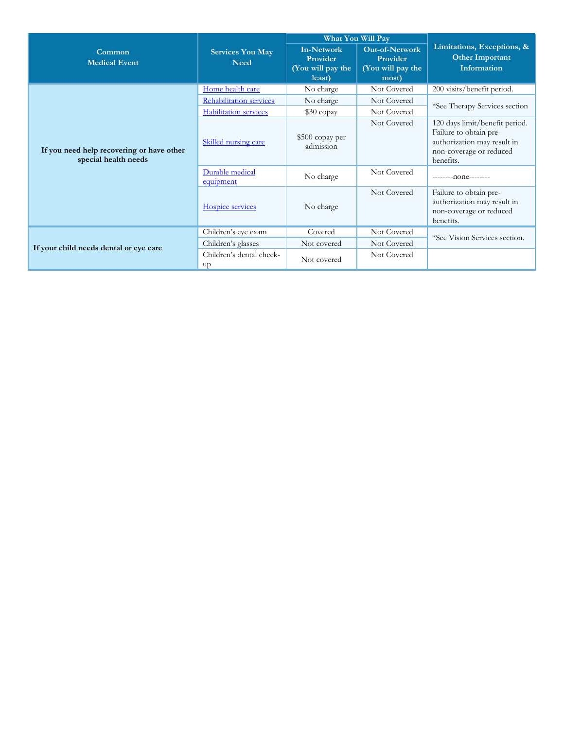|                                                                   | <b>Services You May</b><br><b>Need</b> | What You Will Pay                                            |                                                                 |                                                                                                                                 |
|-------------------------------------------------------------------|----------------------------------------|--------------------------------------------------------------|-----------------------------------------------------------------|---------------------------------------------------------------------------------------------------------------------------------|
| Common<br><b>Medical Event</b>                                    |                                        | <b>In-Network</b><br>Provider<br>(You will pay the<br>least) | <b>Out-of-Network</b><br>Provider<br>(You will pay the<br>most) | Limitations, Exceptions, &<br><b>Other Important</b><br><b>Information</b>                                                      |
|                                                                   | Home health care                       | No charge                                                    | Not Covered                                                     | 200 visits/benefit period.                                                                                                      |
|                                                                   | <b>Rehabilitation services</b>         | No charge                                                    | Not Covered                                                     | *See Therapy Services section                                                                                                   |
|                                                                   | <b>Habilitation</b> services           | \$30 copay                                                   | Not Covered                                                     |                                                                                                                                 |
| If you need help recovering or have other<br>special health needs | Skilled nursing care                   | \$500 copay per<br>admission                                 | Not Covered                                                     | 120 days limit/benefit period.<br>Failure to obtain pre-<br>authorization may result in<br>non-coverage or reduced<br>benefits. |
|                                                                   | Durable medical<br>equipment           | No charge                                                    | Not Covered                                                     | $-----non-1$                                                                                                                    |
|                                                                   | Hospice services                       | No charge                                                    | Not Covered                                                     | Failure to obtain pre-<br>authorization may result in<br>non-coverage or reduced<br>benefits.                                   |
|                                                                   | Children's eye exam                    | Covered                                                      | Not Covered                                                     | *See Vision Services section.                                                                                                   |
| If your child needs dental or eye care                            | Children's glasses                     | Not covered                                                  | Not Covered                                                     |                                                                                                                                 |
|                                                                   | Children's dental check-<br>up         | Not covered                                                  | Not Covered                                                     |                                                                                                                                 |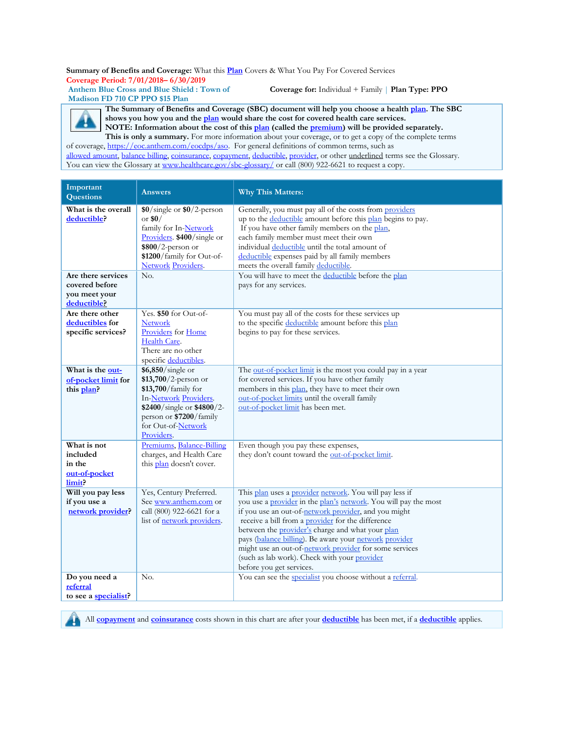**Summary of Benefits and Coverage:** What this **Plan** Covers & What You Pay For Covered Services **Coverage Period: 7/01/2018– 6/30/2019**

**Anthem Blue Cross and Blue Shield : Town of Madison FD 710 CP PPO \$15 Plan**

**Coverage for:** Individual + Family | **Plan Type: PPO**

**The Summary of Benefits and Coverage (SBC) document will help you choose a health [plan.](https://www.healthcare.gov/sbc-glossary/) The SBC shows you how you and th[e plan](https://www.healthcare.gov/sbc-glossary/) would share the cost for covered health care services. NOTE: Information about the cost of this [plan](https://www.healthcare.gov/sbc-glossary/) (called the [premium\)](https://www.healthcare.gov/sbc-glossary/) will be provided separately.**  This is only a summary. For more information about your coverage, or to get a copy of the complete terms

of coverage, [https://eoc.anthem.com/eocdps/aso.](https://eoc.anthem.com/eocdps/aso) For general definitions of common terms, such as [allowed amount, balance billing, coinsurance, copayment, deductible, provider,](https://www.healthcare.gov/sbc-glossary/) or other underlined terms see the Glossary. You can view the Glossary at [www.healthcare.gov/sbc-glossary/](http://www.healthcare.gov/sbc-glossary/) or call (800) 922-6621 to request a copy.

| Important<br><b>Questions</b>                                                                              | <b>Answers</b>                                                                                                                                                                                  | <b>Why This Matters:</b>                                                                                                                                                                                                                                                                                                                                                                                                                                                                    |
|------------------------------------------------------------------------------------------------------------|-------------------------------------------------------------------------------------------------------------------------------------------------------------------------------------------------|---------------------------------------------------------------------------------------------------------------------------------------------------------------------------------------------------------------------------------------------------------------------------------------------------------------------------------------------------------------------------------------------------------------------------------------------------------------------------------------------|
| What is the overall<br>deductible?<br>Are there services<br>covered before<br>you meet your<br>deductible? | $$0/\text{single}$ or $$0/2$ -person<br>or $$0/$<br>family for In-Network<br>Providers. \$400/single or<br>$$800/2$ -person or<br>\$1200/family for Out-of-<br><b>Network Providers.</b><br>No. | Generally, you must pay all of the costs from providers<br>up to the deductible amount before this plan begins to pay.<br>If you have other family members on the plan,<br>each family member must meet their own<br>individual deductible until the total amount of<br>deductible expenses paid by all family members<br>meets the overall family deductible.<br>You will have to meet the deductible before the plan<br>pays for any services.                                            |
| Are there other<br>deductibles for<br>specific services?                                                   | Yes. \$50 for Out-of-<br><b>Network</b><br>Providers for Home<br>Health Care.<br>There are no other<br>specific deductibles.                                                                    | You must pay all of the costs for these services up<br>to the specific deductible amount before this plan<br>begins to pay for these services.                                                                                                                                                                                                                                                                                                                                              |
| What is the out-<br>of-pocket limit for<br>this plan?                                                      | \$6,850/single or<br>$$13,700/2$ -person or<br>\$13,700/family for<br>In-Network Providers.<br>\$2400/single or \$4800/2-<br>person or \$7200/family<br>for Out-of-Network<br>Providers.        | The out-of-pocket limit is the most you could pay in a year<br>for covered services. If you have other family<br>members in this plan, they have to meet their own<br>out-of-pocket limits until the overall family<br>out-of-pocket limit has been met.                                                                                                                                                                                                                                    |
| What is not<br>included<br>in the<br>out-of-pocket<br>limit?                                               | Premiums, Balance-Billing<br>charges, and Health Care<br>this plan doesn't cover.                                                                                                               | Even though you pay these expenses,<br>they don't count toward the out-of-pocket limit.                                                                                                                                                                                                                                                                                                                                                                                                     |
| Will you pay less<br>if you use a<br>network provider?                                                     | Yes, Century Preferred.<br>See www.anthem.com or<br>call (800) 922-6621 for a<br>list of network providers.                                                                                     | This plan uses a provider network. You will pay less if<br>you use a provider in the plan's network. You will pay the most<br>if you use an out-of-network provider, and you might<br>receive a bill from a provider for the difference<br>between the provider's charge and what your plan<br>pays (balance billing). Be aware your network provider<br>might use an out-of-network provider for some services<br>(such as lab work). Check with your provider<br>before you get services. |
| Do you need a<br>referral<br>to see a specialist?                                                          | No.                                                                                                                                                                                             | You can see the specialist you choose without a referral.                                                                                                                                                                                                                                                                                                                                                                                                                                   |



All **[copayment](https://www.healthcare.gov/sbc-glossary/)** and **[coinsurance](https://www.healthcare.gov/sbc-glossary/)** costs shown in this chart are after your **[deductible](https://www.healthcare.gov/sbc-glossary/)** has been met, if a **[deductible](https://www.healthcare.gov/sbc-glossary/)** applies.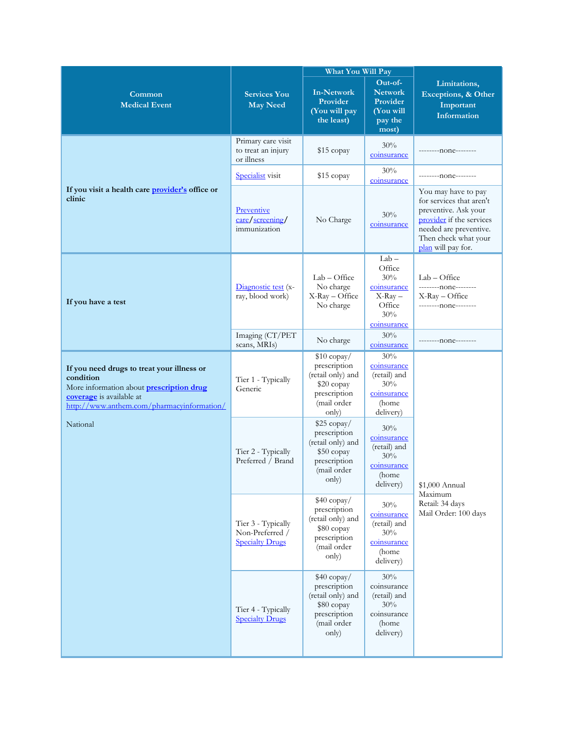|                                                                                                                                                                                      |                                                                 | What You Will Pay                                                                                       |                                                                                      |                                                                                                                                                                             |
|--------------------------------------------------------------------------------------------------------------------------------------------------------------------------------------|-----------------------------------------------------------------|---------------------------------------------------------------------------------------------------------|--------------------------------------------------------------------------------------|-----------------------------------------------------------------------------------------------------------------------------------------------------------------------------|
| Common<br><b>Medical Event</b>                                                                                                                                                       | <b>Services You</b><br><b>May Need</b>                          | <b>In-Network</b><br>Provider<br>(You will pay<br>the least)                                            | Out-of-<br><b>Network</b><br>Provider<br>(You will<br>pay the<br>most)               | Limitations,<br>Exceptions, & Other<br>Important<br>Information                                                                                                             |
|                                                                                                                                                                                      | Primary care visit<br>to treat an injury<br>or illness          | $$15$ copay                                                                                             | 30%<br>coinsurance                                                                   | --------none--------                                                                                                                                                        |
|                                                                                                                                                                                      | <b>Specialist</b> visit                                         | \$15 copay                                                                                              | 30%<br>coinsurance                                                                   | --------none--------                                                                                                                                                        |
| If you visit a health care <b>provider's</b> office or<br>clinic                                                                                                                     | Preventive<br>care/screening/<br>immunization                   | No Charge                                                                                               | 30%<br>coinsurance                                                                   | You may have to pay<br>for services that aren't<br>preventive. Ask your<br>provider if the services<br>needed are preventive.<br>Then check what your<br>plan will pay for. |
| If you have a test                                                                                                                                                                   | Diagnostic test (x-<br>ray, blood work)                         | Lab - Office<br>No charge<br>X-Ray - Office<br>No charge                                                | $Lab -$<br>Office<br>30%<br>coinsurance<br>$X-Ray -$<br>Office<br>30%<br>coinsurance | $Lab - Office$<br>---------- none--------<br>$X$ -Ray – Office<br>--------none--------                                                                                      |
|                                                                                                                                                                                      | Imaging (CT/PET<br>scans, MRIs)                                 | No charge                                                                                               | 30%<br>coinsurance                                                                   | --------none--------                                                                                                                                                        |
| If you need drugs to treat your illness or<br>condition<br>More information about <b>prescription drug</b><br>coverage is available at<br>http://www.anthem.com/pharmacyinformation/ | Tier 1 - Typically<br>Generic                                   | $$10$ copay/<br>prescription<br>(retail only) and<br>\$20 copay<br>prescription<br>(mail order<br>only) | 30%<br>coinsurance<br>(retail) and<br>30%<br>coinsurance<br>(home<br>delivery)       |                                                                                                                                                                             |
| National                                                                                                                                                                             | Tier 2 - Typically<br>Preferred / Brand                         | \$25 copay/<br>prescription<br>(retail only) and<br>\$50 copay<br>prescription<br>(mail order<br>only)  | 30%<br>coinsurance<br>(retail) and<br>30%<br>coinsurance<br>(home<br>delivery)       | \$1,000 Annual                                                                                                                                                              |
|                                                                                                                                                                                      | Tier 3 - Typically<br>Non-Preferred /<br><b>Specialty Drugs</b> | $$40$ copay/<br>prescription<br>(retail only) and<br>\$80 copay<br>prescription<br>(mail order<br>only) | 30%<br>coinsurance<br>(retail) and<br>30%<br>coinsurance<br>(home<br>delivery)       | Maximum<br>Retail: 34 days<br>Mail Order: 100 days                                                                                                                          |
|                                                                                                                                                                                      | Tier 4 - Typically<br><b>Specialty Drugs</b>                    | \$40 copay/<br>prescription<br>(retail only) and<br>\$80 copay<br>prescription<br>(mail order<br>only)  | 30%<br>coinsurance<br>(retail) and<br>30%<br>coinsurance<br>(home<br>delivery)       |                                                                                                                                                                             |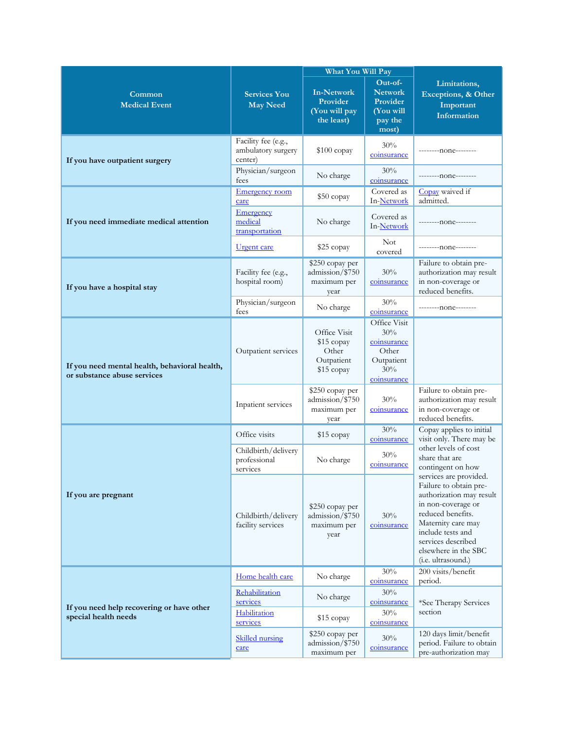|                                                                              |                                                      | What You Will Pay                                               |                                                                                 |                                                                                                                                                                                                                                        |
|------------------------------------------------------------------------------|------------------------------------------------------|-----------------------------------------------------------------|---------------------------------------------------------------------------------|----------------------------------------------------------------------------------------------------------------------------------------------------------------------------------------------------------------------------------------|
| Common<br><b>Medical Event</b>                                               | <b>Services You</b><br><b>May Need</b>               | <b>In-Network</b><br>Provider<br>(You will pay<br>the least)    | Out-of-<br><b>Network</b><br>Provider<br>(You will<br>pay the<br>most)          | Limitations,<br>Exceptions, & Other<br>Important<br><b>Information</b>                                                                                                                                                                 |
| If you have outpatient surgery                                               | Facility fee (e.g.,<br>ambulatory surgery<br>center) | $$100$ copay                                                    | 30%<br>coinsurance                                                              | --------none--------                                                                                                                                                                                                                   |
|                                                                              | Physician/surgeon<br>fees                            | No charge                                                       | 30%<br>coinsurance                                                              | ---------none--------                                                                                                                                                                                                                  |
| If you need immediate medical attention                                      | <b>Emergency</b> room<br>care                        | $$50$ copay                                                     | Covered as<br>In-Network                                                        | Copay waived if<br>admitted.                                                                                                                                                                                                           |
|                                                                              | <b>Emergency</b><br>medical<br>transportation        | No charge                                                       | Covered as<br>In-Network                                                        | --------none--------                                                                                                                                                                                                                   |
|                                                                              | <u>Urgent</u> care                                   | \$25 copay                                                      | <b>Not</b><br>covered                                                           | ---------none--------                                                                                                                                                                                                                  |
| If you have a hospital stay                                                  | Facility fee (e.g.,<br>hospital room)                | \$250 copay per<br>admission/\$750<br>maximum per<br>year       | 30%<br>coinsurance                                                              | Failure to obtain pre-<br>authorization may result<br>in non-coverage or<br>reduced benefits.                                                                                                                                          |
|                                                                              | Physician/surgeon<br>fees                            | No charge                                                       | 30%<br>coinsurance                                                              | ---------none--------                                                                                                                                                                                                                  |
| If you need mental health, behavioral health,<br>or substance abuse services | Outpatient services                                  | Office Visit<br>\$15 copay<br>Other<br>Outpatient<br>\$15 copay | Office Visit<br>30%<br>coinsurance<br>Other<br>Outpatient<br>30%<br>coinsurance |                                                                                                                                                                                                                                        |
|                                                                              | Inpatient services                                   | \$250 copay per<br>admission/\$750<br>maximum per<br>year       | 30%<br>coinsurance                                                              | Failure to obtain pre-<br>authorization may result<br>in non-coverage or<br>reduced benefits.                                                                                                                                          |
|                                                                              | Office visits                                        | \$15 copay                                                      | 30%<br>coinsurance                                                              | Copay applies to initial<br>visit only. There may be                                                                                                                                                                                   |
|                                                                              | Childbirth/delivery<br>professional<br>services      | No charge                                                       | 30%<br>coinsurance                                                              | other levels of cost<br>share that are<br>contingent on how                                                                                                                                                                            |
| If you are pregnant                                                          | Childbirth/delivery<br>facility services             | \$250 copay per<br>admission/\$750<br>maximum per<br>year       | 30%<br>coinsurance                                                              | services are provided.<br>Failure to obtain pre-<br>authorization may result<br>in non-coverage or<br>reduced benefits.<br>Maternity care may<br>include tests and<br>services described<br>elsewhere in the SBC<br>(i.e. ultrasound.) |
|                                                                              | Home health care                                     | No charge                                                       | 30%<br>coinsurance                                                              | 200 visits/benefit<br>period.                                                                                                                                                                                                          |
| If you need help recovering or have other<br>special health needs            | Rehabilitation<br>services<br>Habilitation           | No charge<br>\$15 copay                                         | 30%<br>coinsurance<br>30%                                                       | *See Therapy Services<br>section                                                                                                                                                                                                       |
|                                                                              | services<br><b>Skilled</b> nursing<br>care           | \$250 copay per<br>admission/\$750<br>maximum per               | coinsurance<br>30%<br>coinsurance                                               | 120 days limit/benefit<br>period. Failure to obtain<br>pre-authorization may                                                                                                                                                           |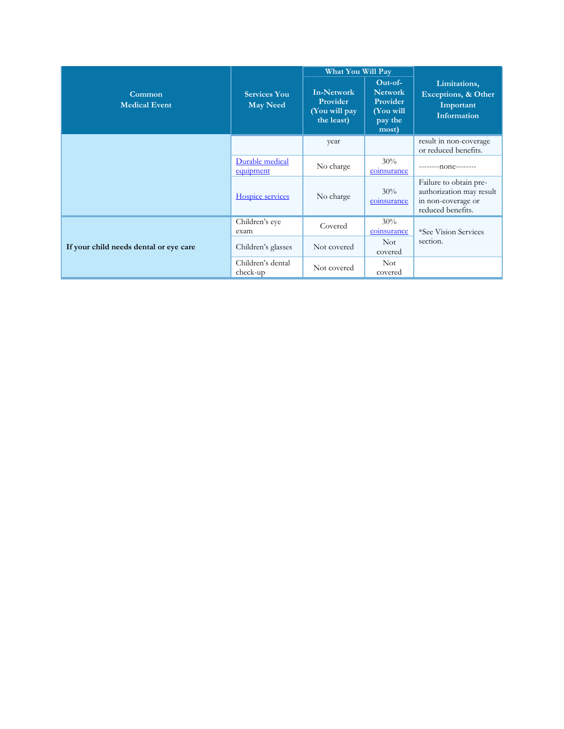|                                        |                                        | <b>What You Will Pay</b>                                     |                                                                          |                                                                                               |
|----------------------------------------|----------------------------------------|--------------------------------------------------------------|--------------------------------------------------------------------------|-----------------------------------------------------------------------------------------------|
| Common<br><b>Medical Event</b>         | <b>Services You</b><br><b>May Need</b> | <b>In-Network</b><br>Provider<br>(You will pay<br>the least) | $Out-of-$<br><b>Network</b><br>Provider<br>(You will<br>pay the<br>most) | Limitations,<br>Exceptions, & Other<br>Important<br><b>Information</b>                        |
|                                        |                                        | year                                                         |                                                                          | result in non-coverage<br>or reduced benefits.                                                |
|                                        | Durable medical<br>equipment           | No charge                                                    | 30%<br>coinsurance                                                       | $-----non-$                                                                                   |
|                                        | Hospice services                       | No charge                                                    | 30%<br>coinsurance                                                       | Failure to obtain pre-<br>authorization may result<br>in non-coverage or<br>reduced benefits. |
|                                        | Children's eye<br>exam                 | Covered                                                      | 30%<br>coinsurance                                                       | *See Vision Services                                                                          |
| If your child needs dental or eye care | Children's glasses                     | Not covered                                                  | <b>Not</b><br>covered                                                    | section.                                                                                      |
|                                        | Children's dental<br>check-up          | Not covered                                                  | <b>Not</b><br>covered                                                    |                                                                                               |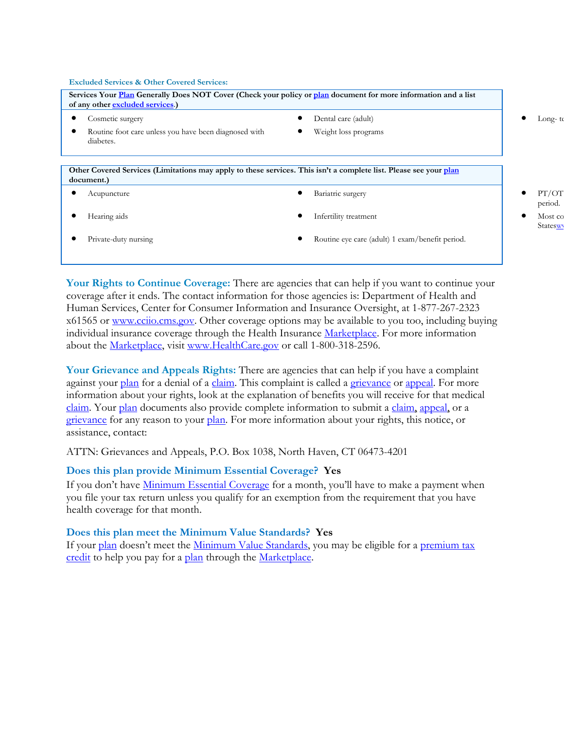#### **Excluded Services & Other Covered Services:**

| Services Your Plan Generally Does NOT Cover (Check your policy or plan document for more information and a list<br>of any other excluded services.) |                                                 |                     |
|-----------------------------------------------------------------------------------------------------------------------------------------------------|-------------------------------------------------|---------------------|
| Cosmetic surgery                                                                                                                                    | Dental care (adult)                             | Long- te            |
| Routine foot care unless you have been diagnosed with<br>diabetes.                                                                                  | Weight loss programs                            |                     |
| Other Covered Services (Limitations may apply to these services. This isn't a complete list. Please see your plan<br>document.)                     |                                                 |                     |
| Acupuncture                                                                                                                                         | Bariatric surgery                               | PT/OT<br>period.    |
| Hearing aids                                                                                                                                        | Infertility treatment                           | Most co<br>Stateswy |
| Private-duty nursing                                                                                                                                | Routine eye care (adult) 1 exam/benefit period. |                     |

**Your Rights to Continue Coverage:** There are agencies that can help if you want to continue your coverage after it ends. The contact information for those agencies is: Department of Health and Human Services, Center for Consumer Information and Insurance Oversight, at 1-877-267-2323 x61565 or [www.cciio.cms.gov.](http://www.cciio.cms.gov/) Other coverage options may be available to you too, including buying individual insurance coverage through the Health Insurance Marketplace. For more information about the Marketplace, visit [www.HealthCare.gov](http://www.healthcare.gov/) or call 1-800-318-2596.

**Your Grievance and Appeals Rights:** There are agencies that can help if you have a complaint against your [plan](https://www.healthcare.gov/sbc-glossary/) for a denial of a [claim.](https://www.healthcare.gov/sbc-glossary/) This complaint is called a grievance or appeal. For more information about your rights, look at the explanation of benefits you will receive for that medical claim. Your plan documents also provide complete information to submit a claim, appeal, or a grievance for any reason to your plan. For more information about your rights, this notice, or assistance, contact:

ATTN: Grievances and Appeals, P.O. Box 1038, North Haven, CT 06473-4201

#### **Does this plan provide Minimum Essential Coverage? Yes**

If you don't have Minimum Essential Coverage for a month, you'll have to make a payment when you file your tax return unless you qualify for an exemption from the requirement that you have health coverage for that month.

#### **Does this plan meet the Minimum Value Standards? Yes**

If your plan doesn't meet the Minimum Value Standards, you may be eligible for a premium tax credit to help you pay for a plan through the Marketplace.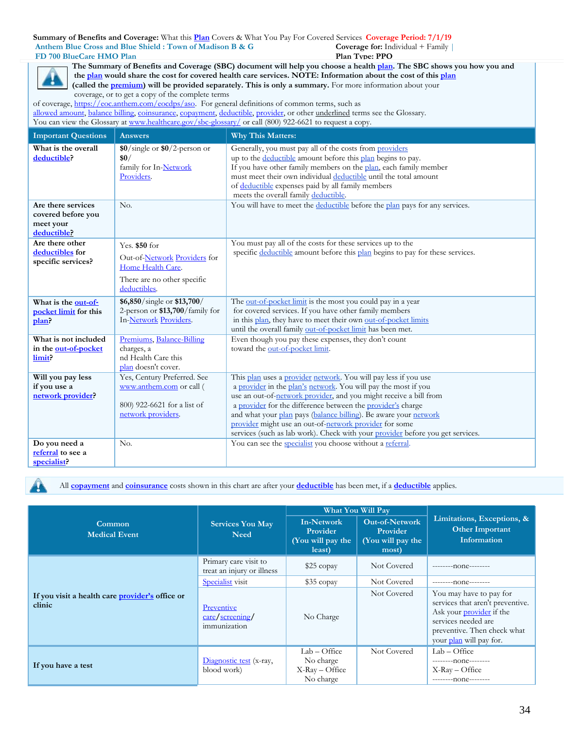**Summary of Benefits and Coverage:** What this **Plan** Covers & What You Pay For Covered Services **Coverage Period: 7/1/19 Anthem Blue Cross and Blue Shield : Town of Madison B & G FD 700 BlueCare HMO Plan Coverage for:** Individual + Family | **Plan Type: PPO**



**The Summary of Benefits and Coverage (SBC) document will help you choose a health [plan.](https://www.healthcare.gov/sbc-glossary/) The SBC shows you how you and the [plan](https://www.healthcare.gov/sbc-glossary/) would share the cost for covered health care services. NOTE: Information about the cost of this [plan](https://www.healthcare.gov/sbc-glossary/) (called th[e premium\)](https://www.healthcare.gov/sbc-glossary/) will be provided separately. This is only a summary.** For more information about your coverage, or to get a copy of the complete terms of coverage, [https://eoc.anthem.com/eocdps/aso.](https://eoc.anthem.com/eocdps/aso) For general definitions of common terms, such as

[allowed amount, balance billing, coinsurance, copayment, deductible, provider,](https://www.healthcare.gov/sbc-glossary/) or other underlined terms see the Glossary. You can view the Glossary at [www.healthcare.gov/sbc-glossary/](http://www.healthcare.gov/sbc-glossary/) or call (800) 922-6621 to request a copy.

| <b>Important Questions</b>                                           | <b>Answers</b>                                                                                                    | <b>Why This Matters:</b>                                                                                                                                                                                                                                                                                                                                                                                                                                                              |
|----------------------------------------------------------------------|-------------------------------------------------------------------------------------------------------------------|---------------------------------------------------------------------------------------------------------------------------------------------------------------------------------------------------------------------------------------------------------------------------------------------------------------------------------------------------------------------------------------------------------------------------------------------------------------------------------------|
| What is the overall<br>deductible?                                   | $$0/\text{single}$ or $$0/2$ -person or<br>\$0/<br>family for In-Network<br>Providers.                            | Generally, you must pay all of the costs from providers<br>up to the deductible amount before this plan begins to pay.<br>If you have other family members on the plan, each family member<br>must meet their own individual deductible until the total amount<br>of deductible expenses paid by all family members<br>meets the overall family deductible.                                                                                                                           |
| Are there services<br>covered before you<br>meet your<br>deductible? | No.                                                                                                               | You will have to meet the deductible before the plan pays for any services.                                                                                                                                                                                                                                                                                                                                                                                                           |
| Are there other<br>deductibles for<br>specific services?             | Yes. \$50 for<br>Out-of-Network Providers for<br>Home Health Care.<br>There are no other specific<br>deductibles. | You must pay all of the costs for these services up to the<br>specific deductible amount before this plan begins to pay for these services.                                                                                                                                                                                                                                                                                                                                           |
| What is the out-of-<br>pocket limit for this<br>plan?                | \$6,850/single or \$13,700/<br>2-person or \$13,700/family for<br>In-Network Providers.                           | The out-of-pocket limit is the most you could pay in a year<br>for covered services. If you have other family members<br>in this plan, they have to meet their own out-of-pocket limits<br>until the overall family out-of-pocket limit has been met.                                                                                                                                                                                                                                 |
| What is not included<br>in the out-of-pocket<br>limit.               | Premiums, Balance-Billing<br>charges, a<br>nd Health Care this<br>plan doesn't cover.                             | Even though you pay these expenses, they don't count<br>toward the out-of-pocket limit.                                                                                                                                                                                                                                                                                                                                                                                               |
| Will you pay less<br>if you use a<br>network provider?               | Yes, Century Preferred. See<br>www.anthem.com or call (<br>800) 922-6621 for a list of<br>network providers.      | This plan uses a provider network. You will pay less if you use<br>a provider in the plan's network. You will pay the most if you<br>use an out-of-network provider, and you might receive a bill from<br>a provider for the difference between the provider's charge<br>and what your plan pays (balance billing). Be aware your network<br>provider might use an out-of-network provider for some<br>services (such as lab work). Check with your provider before you get services. |
| Do you need a<br>referral to see a<br>specialist?                    | No.                                                                                                               | You can see the specialist you choose without a referral.                                                                                                                                                                                                                                                                                                                                                                                                                             |

All **[copayment](https://www.healthcare.gov/sbc-glossary/)** and **[coinsurance](https://www.healthcare.gov/sbc-glossary/)** costs shown in this chart are after your **[deductible](https://www.healthcare.gov/sbc-glossary/)** has been met, if a **[deductible](https://www.healthcare.gov/sbc-glossary/)** applies.

|                                                           |                                                     |                                                              | What You Will Pay                                               |                                                                                                                                                                                 |
|-----------------------------------------------------------|-----------------------------------------------------|--------------------------------------------------------------|-----------------------------------------------------------------|---------------------------------------------------------------------------------------------------------------------------------------------------------------------------------|
| Common<br><b>Medical Event</b>                            | <b>Services You May</b><br><b>Need</b>              | <b>In-Network</b><br>Provider<br>(You will pay the<br>least) | <b>Out-of-Network</b><br>Provider<br>(You will pay the<br>most) | Limitations, Exceptions, &<br><b>Other Important</b><br>Information                                                                                                             |
| If you visit a health care provider's office or<br>clinic | Primary care visit to<br>treat an injury or illness | \$25 copay                                                   | Not Covered                                                     | $-----none---$                                                                                                                                                                  |
|                                                           | Specialist visit                                    | $$35$ copay                                                  | Not Covered                                                     | $-----n0n$                                                                                                                                                                      |
|                                                           | Preventive<br>care/screening/<br>immunization       | No Charge                                                    | Not Covered                                                     | You may have to pay for<br>services that aren't preventive.<br>Ask your <i>provider</i> if the<br>services needed are<br>preventive. Then check what<br>your plan will pay for. |
| If you have a test                                        | Diagnostic test (x-ray,<br>blood work)              | $Lab - Office$<br>No charge<br>$X-Ray-Office$<br>No charge   | Not Covered                                                     | $Lab - Office$<br>--------- none--------<br>$X-Ray-Office$<br>$-----n0n$                                                                                                        |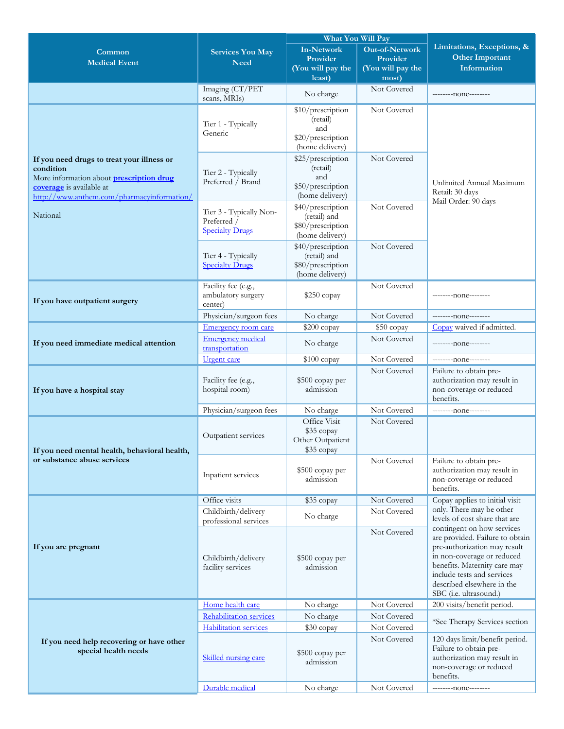|                                                                        |                                                         |                                      | What You Will Pay          |                                                             |
|------------------------------------------------------------------------|---------------------------------------------------------|--------------------------------------|----------------------------|-------------------------------------------------------------|
| Common                                                                 | <b>Services You May</b>                                 | <b>In-Network</b>                    | Out-of-Network             | Limitations, Exceptions, &                                  |
| <b>Medical Event</b>                                                   | <b>Need</b>                                             | Provider                             | Provider                   | <b>Other Important</b>                                      |
|                                                                        |                                                         | (You will pay the<br>least)          | (You will pay the<br>most) | Information                                                 |
|                                                                        | Imaging (CT/PET                                         |                                      | Not Covered                |                                                             |
|                                                                        | scans, MRIs)                                            | No charge                            |                            | ---------none--------                                       |
|                                                                        |                                                         | \$10/prescription                    | Not Covered                |                                                             |
|                                                                        | Tier 1 - Typically                                      | (retail)<br>and                      |                            |                                                             |
|                                                                        | Generic                                                 | \$20/prescription<br>(home delivery) |                            |                                                             |
| If you need drugs to treat your illness or                             |                                                         | \$25/prescription                    | Not Covered                |                                                             |
| condition                                                              | Tier 2 - Typically                                      | (retail)                             |                            |                                                             |
| More information about <b>prescription drug</b>                        | Preferred / Brand                                       | and<br>\$50/prescription             |                            | Unlimited Annual Maximum                                    |
| coverage is available at<br>http://www.anthem.com/pharmacyinformation/ |                                                         | (home delivery)                      |                            | Retail: 30 days                                             |
|                                                                        | Tier 3 - Typically Non-                                 | \$40/prescription                    | Not Covered                | Mail Order: 90 days                                         |
| National                                                               | Preferred /                                             | (retail) and                         |                            |                                                             |
|                                                                        | <b>Specialty Drugs</b>                                  | \$80/prescription<br>(home delivery) |                            |                                                             |
|                                                                        |                                                         | \$40/prescription                    | Not Covered                |                                                             |
|                                                                        | Tier 4 - Typically                                      | (retail) and                         |                            |                                                             |
|                                                                        | <b>Specialty Drugs</b>                                  | \$80/prescription                    |                            |                                                             |
|                                                                        |                                                         | (home delivery)                      |                            |                                                             |
|                                                                        | Facility fee (e.g.,<br>ambulatory surgery               | $$250$ copay                         | Not Covered                | ---------- none--------                                     |
| If you have outpatient surgery                                         | center)                                                 |                                      |                            |                                                             |
|                                                                        | Physician/surgeon fees                                  | No charge                            | Not Covered                | --------- none--------                                      |
|                                                                        | Emergency room care                                     | \$200 copay                          | \$50 copay                 | Copay waived if admitted.                                   |
| If you need immediate medical attention                                | <b>Emergency medical</b><br>transportation              | No charge                            | Not Covered                | ---------- none--------                                     |
|                                                                        | <b>Urgent</b> care                                      | \$100 copay                          | Not Covered                |                                                             |
|                                                                        |                                                         |                                      | Not Covered                | Failure to obtain pre-                                      |
| If you have a hospital stay                                            | Facility fee (e.g.,<br>hospital room)                   | \$500 copay per<br>admission         |                            | authorization may result in<br>non-coverage or reduced      |
|                                                                        |                                                         |                                      |                            | benefits.                                                   |
|                                                                        | Physician/surgeon fees                                  | No charge                            | Not Covered                | ---------- none--------                                     |
|                                                                        |                                                         | Office Visit                         | Not Covered                |                                                             |
|                                                                        | Outpatient services                                     | \$35 copay<br>Other Outpatient       |                            |                                                             |
| If you need mental health, behavioral health,                          |                                                         | \$35 copay                           |                            |                                                             |
| or substance abuse services                                            |                                                         |                                      | Not Covered                | Failure to obtain pre-                                      |
|                                                                        | Inpatient services                                      | \$500 copay per                      |                            | authorization may result in                                 |
|                                                                        |                                                         | admission                            |                            | non-coverage or reduced<br>benefits.                        |
|                                                                        | Office visits                                           | \$35 copay                           | Not Covered                | Copay applies to initial visit                              |
|                                                                        | Childbirth/delivery                                     | No charge                            | Not Covered                | only. There may be other                                    |
|                                                                        | professional services                                   |                                      |                            | levels of cost share that are<br>contingent on how services |
|                                                                        |                                                         |                                      | Not Covered                | are provided. Failure to obtain                             |
| If you are pregnant                                                    |                                                         |                                      |                            | pre-authorization may result                                |
|                                                                        | Childbirth/delivery                                     | \$500 copay per                      |                            | in non-coverage or reduced<br>benefits. Maternity care may  |
|                                                                        | facility services                                       | admission                            |                            | include tests and services                                  |
|                                                                        |                                                         |                                      |                            | described elsewhere in the                                  |
|                                                                        |                                                         |                                      |                            | SBC (i.e. ultrasound.)                                      |
|                                                                        | Home health care                                        | No charge                            | Not Covered                | 200 visits/benefit period.                                  |
|                                                                        | Rehabilitation services<br><b>Habilitation</b> services | No charge<br>\$30 copay              | Not Covered<br>Not Covered | *See Therapy Services section                               |
|                                                                        |                                                         |                                      | Not Covered                | 120 days limit/benefit period.                              |
| If you need help recovering or have other<br>special health needs      |                                                         |                                      |                            | Failure to obtain pre-                                      |
|                                                                        | Skilled nursing care                                    | \$500 copay per<br>admission         |                            | authorization may result in                                 |
|                                                                        |                                                         |                                      |                            | non-coverage or reduced<br>benefits.                        |
|                                                                        | Durable medical                                         | No charge                            | Not Covered                | ---------none--------                                       |
|                                                                        |                                                         |                                      |                            |                                                             |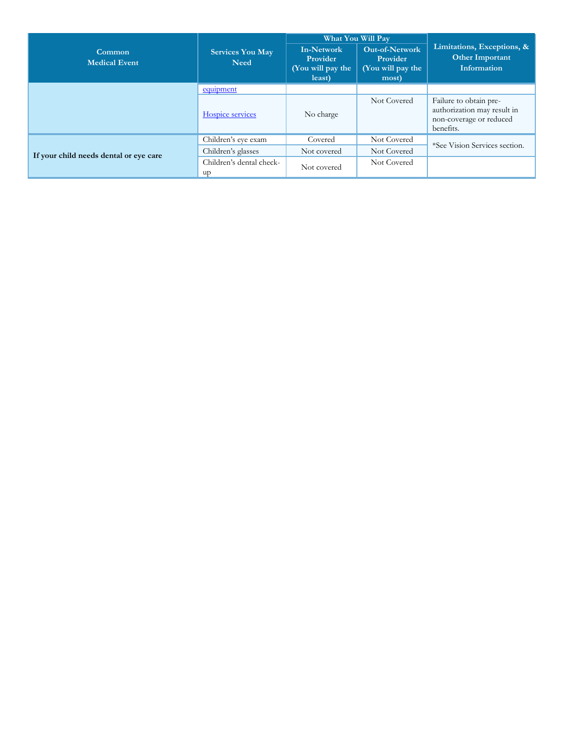|                                        |                                 |                                                              | <b>What You Will Pay</b>                                        |                                                                                               |
|----------------------------------------|---------------------------------|--------------------------------------------------------------|-----------------------------------------------------------------|-----------------------------------------------------------------------------------------------|
| Common<br><b>Medical Event</b>         | <b>Services You May</b><br>Need | <b>In-Network</b><br>Provider<br>(You will pay the<br>least) | <b>Out-of-Network</b><br>Provider<br>(You will pay the<br>most) | Limitations, Exceptions, &<br><b>Other Important</b><br>Information                           |
|                                        | equipment                       |                                                              |                                                                 |                                                                                               |
|                                        | Hospice services                | No charge                                                    | Not Covered                                                     | Failure to obtain pre-<br>authorization may result in<br>non-coverage or reduced<br>benefits. |
|                                        | Children's eye exam             | Covered                                                      | Not Covered                                                     | *See Vision Services section.                                                                 |
| If your child needs dental or eye care | Children's glasses              | Not covered                                                  | Not Covered                                                     |                                                                                               |
|                                        | Children's dental check-<br>up  | Not covered                                                  | Not Covered                                                     |                                                                                               |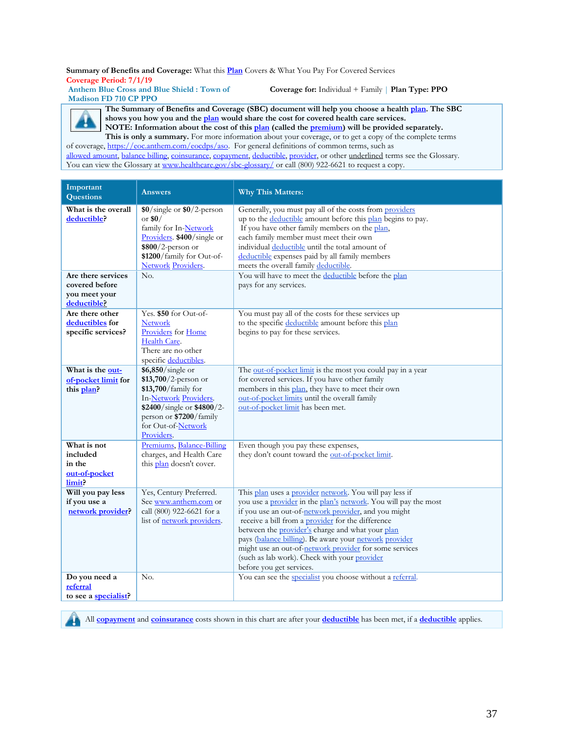**Summary of Benefits and Coverage:** What this **Plan** Covers & What You Pay For Covered Services **Coverage Period: 7/1/19**

**Anthem Blue Cross and Blue Shield : Town of Madison FD 710 CP PPO** 

**Coverage for:** Individual + Family | **Plan Type: PPO**

**The Summary of Benefits and Coverage (SBC) document will help you choose a health [plan.](https://www.healthcare.gov/sbc-glossary/) The SBC shows you how you and th[e plan](https://www.healthcare.gov/sbc-glossary/) would share the cost for covered health care services. NOTE: Information about the cost of this [plan](https://www.healthcare.gov/sbc-glossary/) (called the [premium\)](https://www.healthcare.gov/sbc-glossary/) will be provided separately.** 

**This is only a summary.** For more information about your coverage, or to get a copy of the complete terms of coverage, [https://eoc.anthem.com/eocdps/aso.](https://eoc.anthem.com/eocdps/aso) For general definitions of common terms, such as

[allowed amount, balance billing, coinsurance, copayment, deductible, provider,](https://www.healthcare.gov/sbc-glossary/) or other underlined terms see the Glossary. You can view the Glossary at [www.healthcare.gov/sbc-glossary/](http://www.healthcare.gov/sbc-glossary/) or call (800) 922-6621 to request a copy.

| Important<br>Questions                                                  | <b>Answers</b>                                                                                                                                                                                 | <b>Why This Matters:</b>                                                                                                                                                                                                                                                                                                                                                                                                                                                                                                                                 |
|-------------------------------------------------------------------------|------------------------------------------------------------------------------------------------------------------------------------------------------------------------------------------------|----------------------------------------------------------------------------------------------------------------------------------------------------------------------------------------------------------------------------------------------------------------------------------------------------------------------------------------------------------------------------------------------------------------------------------------------------------------------------------------------------------------------------------------------------------|
| What is the overall<br>deductible?<br>Are there services                | $$0/\text{single}$ or $$0/2$ -person<br>or $$0/$<br>family for In-Network<br>Providers \$400/single or<br>$$800/2$ -person or<br>\$1200/family for Out-of-<br><b>Network Providers.</b><br>No. | Generally, you must pay all of the costs from providers<br>up to the deductible amount before this plan begins to pay.<br>If you have other family members on the plan,<br>each family member must meet their own<br>individual deductible until the total amount of<br>deductible expenses paid by all family members<br>meets the overall family deductible.<br>You will have to meet the deductible before the plan                                                                                                                                   |
| covered before<br>you meet your<br>deductible?                          |                                                                                                                                                                                                | pays for any services.                                                                                                                                                                                                                                                                                                                                                                                                                                                                                                                                   |
| Are there other<br>deductibles for<br>specific services?                | Yes. \$50 for Out-of-<br><b>Network</b><br>Providers for Home<br>Health Care.<br>There are no other<br>specific deductibles.                                                                   | You must pay all of the costs for these services up<br>to the specific deductible amount before this plan<br>begins to pay for these services.                                                                                                                                                                                                                                                                                                                                                                                                           |
| What is the out-<br>of-pocket limit for<br>this plan?                   | \$6,850/single or<br>\$13,700/2-person or<br>\$13,700/family for<br>In-Network Providers.<br>\$2400/single or \$4800/2-<br>person or \$7200/family<br>for Out-of-Network<br>Providers.         | The out-of-pocket limit is the most you could pay in a year<br>for covered services. If you have other family<br>members in this plan, they have to meet their own<br>out-of-pocket limits until the overall family<br>out-of-pocket limit has been met.                                                                                                                                                                                                                                                                                                 |
| What is not<br>included<br>in the<br>out-of-pocket<br>limit?            | Premiums, Balance-Billing<br>charges, and Health Care<br>this plan doesn't cover.                                                                                                              | Even though you pay these expenses,<br>they don't count toward the out-of-pocket limit.                                                                                                                                                                                                                                                                                                                                                                                                                                                                  |
| Will you pay less<br>if you use a<br>network provider?<br>Do you need a | Yes, Century Preferred.<br>See www.anthem.com or<br>call (800) 922-6621 for a<br>list of network providers.<br>No.                                                                             | This plan uses a provider network. You will pay less if<br>you use a provider in the plan's network. You will pay the most<br>if you use an out-of-network provider, and you might<br>receive a bill from a provider for the difference<br>between the provider's charge and what your plan<br>pays (balance billing). Be aware your network provider<br>might use an out-of-network provider for some services<br>(such as lab work). Check with your provider<br>before you get services.<br>You can see the specialist you choose without a referral. |
| referral<br>to see a specialist?                                        |                                                                                                                                                                                                |                                                                                                                                                                                                                                                                                                                                                                                                                                                                                                                                                          |



All **[copayment](https://www.healthcare.gov/sbc-glossary/)** and **[coinsurance](https://www.healthcare.gov/sbc-glossary/)** costs shown in this chart are after your **[deductible](https://www.healthcare.gov/sbc-glossary/)** has been met, if a **[deductible](https://www.healthcare.gov/sbc-glossary/)** applies.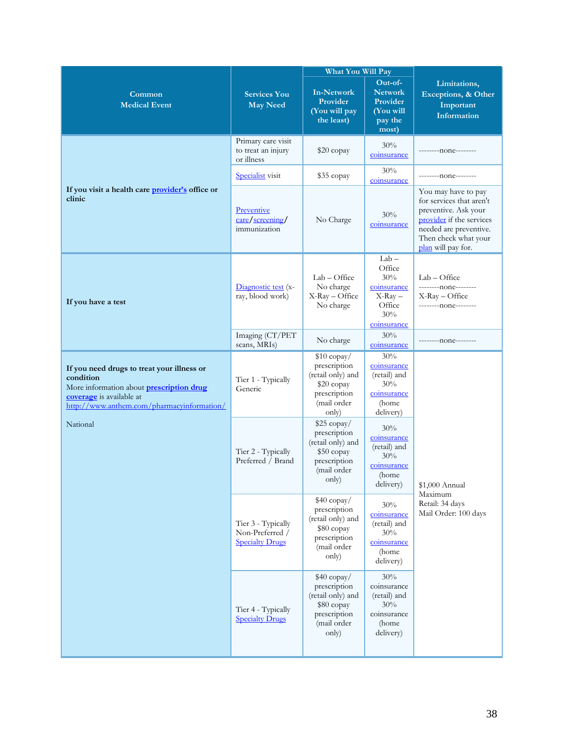|                                                                                                                                                                                      |                                                                 | What You Will Pay                                                                                       |                                                                                      |                                                                                                                                                                             |  |
|--------------------------------------------------------------------------------------------------------------------------------------------------------------------------------------|-----------------------------------------------------------------|---------------------------------------------------------------------------------------------------------|--------------------------------------------------------------------------------------|-----------------------------------------------------------------------------------------------------------------------------------------------------------------------------|--|
| Common<br><b>Medical Event</b>                                                                                                                                                       | <b>Services You</b><br><b>May Need</b>                          | <b>In-Network</b><br>Provider<br>(You will pay<br>the least)                                            | Out-of-<br><b>Network</b><br>Provider<br>(You will<br>pay the<br>most)               | Limitations,<br>Exceptions, & Other<br>Important<br>Information                                                                                                             |  |
|                                                                                                                                                                                      | Primary care visit<br>to treat an injury<br>or illness          | $$20$ copay                                                                                             | 30%<br>coinsurance                                                                   | --------none--------                                                                                                                                                        |  |
|                                                                                                                                                                                      | Specialist visit                                                | \$35 copay                                                                                              | 30%<br>coinsurance                                                                   | ---------none--------                                                                                                                                                       |  |
| If you visit a health care provider's office or<br>clinic                                                                                                                            | Preventive<br>care/screening/<br>immunization                   | No Charge                                                                                               | 30%<br>coinsurance                                                                   | You may have to pay<br>for services that aren't<br>preventive. Ask your<br>provider if the services<br>needed are preventive.<br>Then check what your<br>plan will pay for. |  |
| If you have a test                                                                                                                                                                   | Diagnostic test (x-<br>ray, blood work)                         | $Lab - Office$<br>No charge<br>X-Ray - Office<br>No charge                                              | $Lab -$<br>Office<br>30%<br>coinsurance<br>$X-Ray -$<br>Office<br>30%<br>coinsurance | $Lab - Office$<br>---------none--------<br>$X$ -Ray – Office<br>--------none--------                                                                                        |  |
|                                                                                                                                                                                      | Imaging (CT/PET<br>scans, MRIs)                                 | No charge                                                                                               | 30%<br>coinsurance                                                                   | ---------none--------                                                                                                                                                       |  |
| If you need drugs to treat your illness or<br>condition<br>More information about <b>prescription drug</b><br>coverage is available at<br>http://www.anthem.com/pharmacyinformation/ | Tier 1 - Typically<br>Generic                                   | $$10$ copay/<br>prescription<br>(retail only) and<br>\$20 copay<br>prescription<br>(mail order<br>(only | 30%<br>coinsurance<br>(retail) and<br>30%<br>coinsurance<br>(home<br>delivery)       |                                                                                                                                                                             |  |
| National                                                                                                                                                                             | Tier 2 - Typically<br>Preferred / Brand                         | \$25 copay/<br>prescription<br>(retail only) and<br>\$50 copay<br>prescription<br>(mail order<br>only)  | 30%<br>coinsurance<br>(retail) and<br>30%<br>coinsurance<br>(home<br>delivery)       | \$1,000 Annual                                                                                                                                                              |  |
|                                                                                                                                                                                      | Tier 3 - Typically<br>Non-Preferred /<br><b>Specialty Drugs</b> | \$40 copay/<br>prescription<br>(retail only) and<br>\$80 copay<br>prescription<br>(mail order<br>only)  | 30%<br>coinsurance<br>(retail) and<br>30%<br>coinsurance<br>(home<br>delivery)       | Maximum<br>Retail: 34 days<br>Mail Order: 100 days                                                                                                                          |  |
|                                                                                                                                                                                      | Tier 4 - Typically<br><b>Specialty Drugs</b>                    | \$40 copay/<br>prescription<br>(retail only) and<br>\$80 copay<br>prescription<br>(mail order<br>only)  | 30%<br>coinsurance<br>(retail) and<br>30%<br>coinsurance<br>(home<br>delivery)       |                                                                                                                                                                             |  |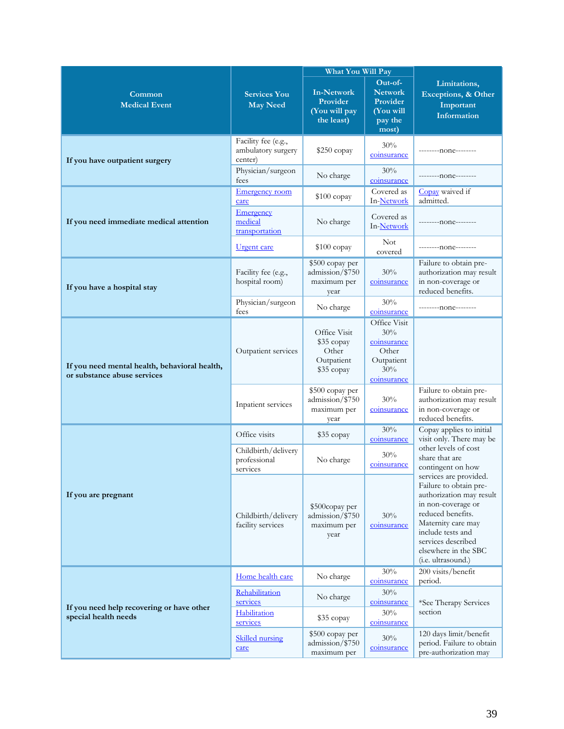|                                                                              |                                                        | <b>What You Will Pay</b>                                        |                                                                                 |                                                                                                                                                                                                                                        |
|------------------------------------------------------------------------------|--------------------------------------------------------|-----------------------------------------------------------------|---------------------------------------------------------------------------------|----------------------------------------------------------------------------------------------------------------------------------------------------------------------------------------------------------------------------------------|
| Common<br><b>Medical Event</b>                                               | <b>Services You</b><br><b>May Need</b>                 | <b>In-Network</b><br>Provider<br>(You will pay<br>the least)    | Out-of-<br><b>Network</b><br>Provider<br>(You will<br>pay the<br>most)          | Limitations,<br>Exceptions, & Other<br>Important<br>Information                                                                                                                                                                        |
| If you have outpatient surgery                                               | Facility fee (e.g.,<br>ambulatory surgery<br>center)   | \$250 copay                                                     | 30%<br>coinsurance                                                              | --------none--------                                                                                                                                                                                                                   |
|                                                                              | Physician/surgeon<br>fees                              | No charge                                                       | 30%<br>coinsurance                                                              | ---------none--------                                                                                                                                                                                                                  |
|                                                                              | <b>Emergency room</b><br>care                          | $$100$ copay                                                    | Covered as<br>In-Network                                                        | Copay waived if<br>admitted.                                                                                                                                                                                                           |
| If you need immediate medical attention                                      | Emergency<br>medical<br>transportation                 | No charge                                                       | Covered as<br>In-Network                                                        | ---------none--------                                                                                                                                                                                                                  |
|                                                                              | <u>Urgent</u> care                                     | $$100$ copay                                                    | <b>Not</b><br>covered                                                           | --------none--------                                                                                                                                                                                                                   |
| If you have a hospital stay                                                  | Facility fee (e.g.,<br>hospital room)                  | \$500 copay per<br>admission/\$750<br>maximum per<br>year       | 30%<br>coinsurance                                                              | Failure to obtain pre-<br>authorization may result<br>in non-coverage or<br>reduced benefits.                                                                                                                                          |
|                                                                              | Physician/surgeon<br>fees                              | No charge                                                       | 30%<br>coinsurance                                                              | ---------none--------                                                                                                                                                                                                                  |
| If you need mental health, behavioral health,<br>or substance abuse services | Outpatient services                                    | Office Visit<br>\$35 copay<br>Other<br>Outpatient<br>\$35 copay | Office Visit<br>30%<br>coinsurance<br>Other<br>Outpatient<br>30%<br>coinsurance |                                                                                                                                                                                                                                        |
|                                                                              | Inpatient services                                     | \$500 copay per<br>admission/\$750<br>maximum per<br>year       | 30%<br>coinsurance                                                              | Failure to obtain pre-<br>authorization may result<br>in non-coverage or<br>reduced benefits.                                                                                                                                          |
|                                                                              | Office visits                                          | \$35 copay                                                      | 30%<br>coinsurance                                                              | Copay applies to initial<br>visit only. There may be                                                                                                                                                                                   |
|                                                                              | Childbirth/delivery<br>professional<br>services        | No charge                                                       | 30%<br>coinsurance                                                              | other levels of cost<br>share that are<br>contingent on how                                                                                                                                                                            |
| If you are pregnant                                                          | Childbirth/delivery<br>facility services               | \$500copay per<br>admission/\$750<br>maximum per<br>year        | 30%<br>coinsurance                                                              | services are provided.<br>Failure to obtain pre-<br>authorization may result<br>in non-coverage or<br>reduced benefits.<br>Maternity care may<br>include tests and<br>services described<br>elsewhere in the SBC<br>(i.e. ultrasound.) |
|                                                                              | Home health care                                       | No charge                                                       | 30%<br>coinsurance                                                              | 200 visits/benefit<br>period.                                                                                                                                                                                                          |
| If you need help recovering or have other<br>special health needs            | Rehabilitation<br>services<br>Habilitation<br>services | No charge<br>\$35 copay                                         | 30%<br>coinsurance<br>30%                                                       | *See Therapy Services<br>section                                                                                                                                                                                                       |
|                                                                              | <b>Skilled</b> nursing<br>care                         | \$500 copay per<br>admission/\$750<br>maximum per               | coinsurance<br>30%<br>coinsurance                                               | 120 days limit/benefit<br>period. Failure to obtain<br>pre-authorization may                                                                                                                                                           |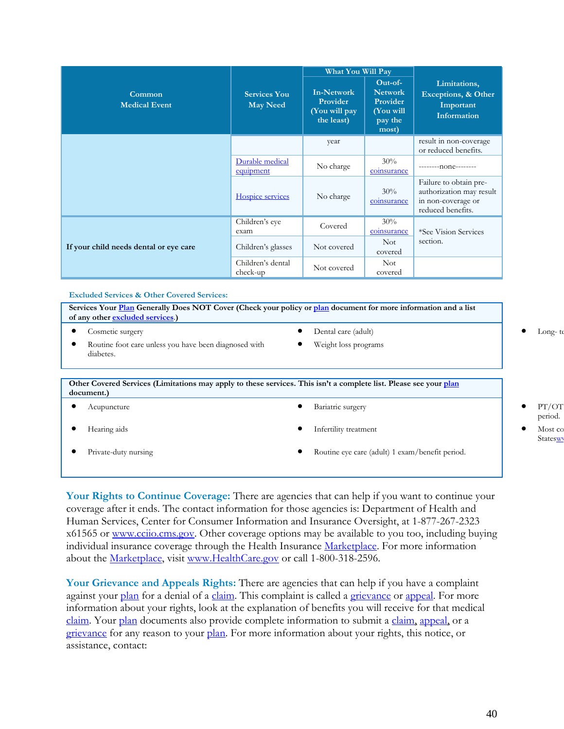|                                        |                                        | What You Will Pay                                            |                                                                          |                                                                                               |
|----------------------------------------|----------------------------------------|--------------------------------------------------------------|--------------------------------------------------------------------------|-----------------------------------------------------------------------------------------------|
| Common<br><b>Medical Event</b>         | <b>Services You</b><br><b>May Need</b> | <b>In-Network</b><br>Provider<br>(You will pay<br>the least) | $Out-of-$<br><b>Network</b><br>Provider<br>(You will<br>pay the<br>most) | Limitations,<br>Exceptions, & Other<br>Important<br>Information                               |
|                                        |                                        | year                                                         |                                                                          | result in non-coverage<br>or reduced benefits.                                                |
|                                        | Durable medical<br>equipment           | No charge                                                    | $30\%$<br>coinsurance                                                    | ---------none--------                                                                         |
|                                        | Hospice services                       | No charge                                                    | 30%<br>coinsurance                                                       | Failure to obtain pre-<br>authorization may result<br>in non-coverage or<br>reduced benefits. |
| If your child needs dental or eye care | Children's eye<br>exam                 | Covered                                                      | 30%<br>coinsurance                                                       | *See Vision Services                                                                          |
|                                        | Children's glasses                     | Not covered                                                  | <b>Not</b><br>covered                                                    | section.                                                                                      |
|                                        | Children's dental<br>check-up          | Not covered                                                  | <b>Not</b><br>covered                                                    |                                                                                               |

**Excluded Services & Other Covered Services:**

**Services Your Plan Generally Does NOT Cover (Check your policy or plan document for more information and a list of any other [excluded services](https://www.healthcare.gov/sbc-glossary/)**.**)** • Cosmetic surgery • Dental care (adult) • Long-te

- 
- Routine foot care unless you have been diagnosed with diabetes.
- Weight loss programs

**Other Covered Services (Limitations may apply to these services. This isn't a complete list. Please see your plan document.)** 

| $-000$ |                      |  |                                                 |  |                     |
|--------|----------------------|--|-------------------------------------------------|--|---------------------|
|        | Acupuncture          |  | Bariatric surgery                               |  | PT/OT<br>period.    |
|        | Hearing aids         |  | Infertility treatment                           |  | Most co<br>Stateswy |
|        | Private-duty nursing |  | Routine eye care (adult) 1 exam/benefit period. |  |                     |
|        |                      |  |                                                 |  |                     |

**Your Rights to Continue Coverage:** There are agencies that can help if you want to continue your coverage after it ends. The contact information for those agencies is: Department of Health and Human Services, Center for Consumer Information and Insurance Oversight, at 1-877-267-2323 x61565 or [www.cciio.cms.gov.](http://www.cciio.cms.gov/) Other coverage options may be available to you too, including buying individual insurance coverage through the Health Insurance Marketplace. For more information about the Marketplace, visit [www.HealthCare.gov](http://www.healthcare.gov/) or call 1-800-318-2596.

**Your Grievance and Appeals Rights:** There are agencies that can help if you have a complaint against your [plan](https://www.healthcare.gov/sbc-glossary/) for a denial of a [claim.](https://www.healthcare.gov/sbc-glossary/) This complaint is called a grievance or appeal. For more information about your rights, look at the explanation of benefits you will receive for that medical claim. Your plan documents also provide complete information to submit a claim, appeal, or a grievance for any reason to your plan. For more information about your rights, this notice, or assistance, contact:

- period.
- Statesw